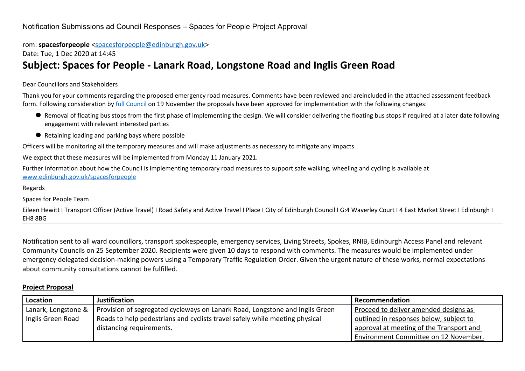rom: **spacesforpeople** [<spacesforpeople@edinburgh.gov.uk>](mailto:spacesforpeople@edinburgh.gov.uk)

Date: Tue, 1 Dec 2020 at 14:45

## **Subject: Spaces for People - Lanark Road, Longstone Road and Inglis Green Road**

#### Dear Councillors and Stakeholders

Thank you for your comments regarding the proposed emergency road measures. Comments have been reviewed and areincluded in the attached assessment feedback form. Following consideration by [full Council](https://democracy.edinburgh.gov.uk/documents/s29005/Item%208.10%20-%20Spaces%20for%20People%20Update%20November%202020%20-%20referral%20from%20TE%20Committee.pdf) on 19 November the proposals have been approved for implementation with the following changes:

- Removal of floating bus stops from the first phase of implementing the design. We will consider delivering the floating bus stops if required at a later date following engagement with relevant interested parties
- Retaining loading and parking bays where possible

Officers will be monitoring all the temporary measures and will make adjustments as necessary to mitigate any impacts.

We expect that these measures will be implemented from Monday 11 January 2021.

Further information about how the Council is implementing temporary road measures to support safe walking, wheeling and cycling is available at [www.edinburgh.gov.uk/spacesforpeople](http://www.edinburgh.gov.uk/spacesforpeople)

Regards

Spaces for People Team

Eileen Hewitt I Transport Officer (Active Travel) I Road Safety and Active Travel I Place I City of Edinburgh Council I G:4 Waverley Court I 4 East Market Street I Edinburgh I EH8 8BG

Notification sent to all ward councillors, transport spokespeople, emergency services, Living Streets, Spokes, RNIB, Edinburgh Access Panel and relevant Community Councils on 25 September 2020. Recipients were given 10 days to respond with comments. The measures would be implemented under emergency delegated decision-making powers using a Temporary Traffic Regulation Order. Given the urgent nature of these works, normal expectations about community consultations cannot be fulfilled.

#### **Project Proposal**

| Location            | <b>Justification</b>                                                         | Recommendation                           |
|---------------------|------------------------------------------------------------------------------|------------------------------------------|
| Lanark, Longstone & | Provision of segregated cycleways on Lanark Road, Longstone and Inglis Green | Proceed to deliver amended designs as    |
| Inglis Green Road   | Roads to help pedestrians and cyclists travel safely while meeting physical  | outlined in responses below, subject to  |
|                     | distancing requirements.                                                     | approval at meeting of the Transport and |
|                     |                                                                              | Environment Committee on 12 November.    |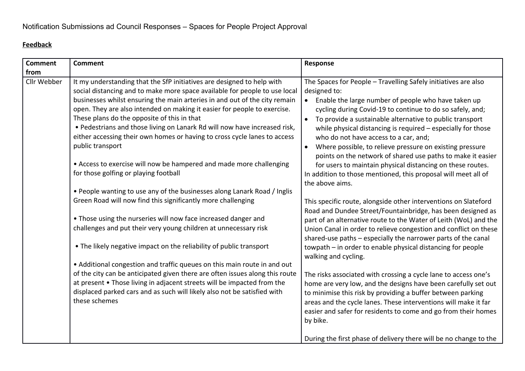#### **Feedback**

| <b>Comment</b> | <b>Comment</b>                                                                                                                                                                                                                                                                                                                                                                                                                                                                                                                                                                                                                                              | Response                                                                                                                                                                                                                                                                                                                                                                                                                                                                                                                                                                                                                                                                  |
|----------------|-------------------------------------------------------------------------------------------------------------------------------------------------------------------------------------------------------------------------------------------------------------------------------------------------------------------------------------------------------------------------------------------------------------------------------------------------------------------------------------------------------------------------------------------------------------------------------------------------------------------------------------------------------------|---------------------------------------------------------------------------------------------------------------------------------------------------------------------------------------------------------------------------------------------------------------------------------------------------------------------------------------------------------------------------------------------------------------------------------------------------------------------------------------------------------------------------------------------------------------------------------------------------------------------------------------------------------------------------|
| from           |                                                                                                                                                                                                                                                                                                                                                                                                                                                                                                                                                                                                                                                             |                                                                                                                                                                                                                                                                                                                                                                                                                                                                                                                                                                                                                                                                           |
| Cllr Webber    | It my understanding that the SfP initiatives are designed to help with<br>social distancing and to make more space available for people to use local<br>businesses whilst ensuring the main arteries in and out of the city remain<br>open. They are also intended on making it easier for people to exercise.<br>These plans do the opposite of this in that<br>. Pedestrians and those living on Lanark Rd will now have increased risk,<br>either accessing their own homes or having to cross cycle lanes to access<br>public transport<br>• Access to exercise will now be hampered and made more challenging<br>for those golfing or playing football | The Spaces for People - Travelling Safely initiatives are also<br>designed to:<br>Enable the large number of people who have taken up<br>$\bullet$<br>cycling during Covid-19 to continue to do so safely, and;<br>To provide a sustainable alternative to public transport<br>$\bullet$<br>while physical distancing is required - especially for those<br>who do not have access to a car, and;<br>Where possible, to relieve pressure on existing pressure<br>$\bullet$<br>points on the network of shared use paths to make it easier<br>for users to maintain physical distancing on these routes.<br>In addition to those mentioned, this proposal will meet all of |
|                | . People wanting to use any of the businesses along Lanark Road / Inglis                                                                                                                                                                                                                                                                                                                                                                                                                                                                                                                                                                                    | the above aims.                                                                                                                                                                                                                                                                                                                                                                                                                                                                                                                                                                                                                                                           |
|                | Green Road will now find this significantly more challenging                                                                                                                                                                                                                                                                                                                                                                                                                                                                                                                                                                                                | This specific route, alongside other interventions on Slateford<br>Road and Dundee Street/Fountainbridge, has been designed as                                                                                                                                                                                                                                                                                                                                                                                                                                                                                                                                            |
|                | • Those using the nurseries will now face increased danger and<br>challenges and put their very young children at unnecessary risk                                                                                                                                                                                                                                                                                                                                                                                                                                                                                                                          | part of an alternative route to the Water of Leith (WoL) and the<br>Union Canal in order to relieve congestion and conflict on these<br>shared-use paths - especially the narrower parts of the canal                                                                                                                                                                                                                                                                                                                                                                                                                                                                     |
|                | . The likely negative impact on the reliability of public transport                                                                                                                                                                                                                                                                                                                                                                                                                                                                                                                                                                                         | towpath – in order to enable physical distancing for people<br>walking and cycling.                                                                                                                                                                                                                                                                                                                                                                                                                                                                                                                                                                                       |
|                | • Additional congestion and traffic queues on this main route in and out<br>of the city can be anticipated given there are often issues along this route<br>at present • Those living in adjacent streets will be impacted from the<br>displaced parked cars and as such will likely also not be satisfied with<br>these schemes                                                                                                                                                                                                                                                                                                                            | The risks associated with crossing a cycle lane to access one's<br>home are very low, and the designs have been carefully set out<br>to minimise this risk by providing a buffer between parking<br>areas and the cycle lanes. These interventions will make it far<br>easier and safer for residents to come and go from their homes<br>by bike.                                                                                                                                                                                                                                                                                                                         |
|                |                                                                                                                                                                                                                                                                                                                                                                                                                                                                                                                                                                                                                                                             | During the first phase of delivery there will be no change to the                                                                                                                                                                                                                                                                                                                                                                                                                                                                                                                                                                                                         |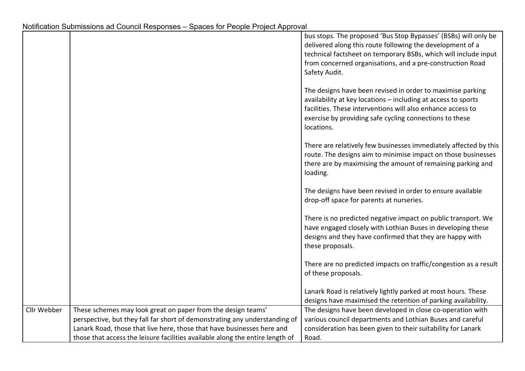|             |                                                                               | bus stops. The proposed 'Bus Stop Bypasses' (BSBs) will only be<br>delivered along this route following the development of a<br>technical factsheet on temporary BSBs, which will include input<br>from concerned organisations, and a pre-construction Road<br>Safety Audit. |
|-------------|-------------------------------------------------------------------------------|-------------------------------------------------------------------------------------------------------------------------------------------------------------------------------------------------------------------------------------------------------------------------------|
|             |                                                                               | The designs have been revised in order to maximise parking<br>availability at key locations - including at access to sports<br>facilities. These interventions will also enhance access to<br>exercise by providing safe cycling connections to these<br>locations.           |
|             |                                                                               | There are relatively few businesses immediately affected by this<br>route. The designs aim to minimise impact on those businesses<br>there are by maximising the amount of remaining parking and<br>loading.                                                                  |
|             |                                                                               | The designs have been revised in order to ensure available<br>drop-off space for parents at nurseries.                                                                                                                                                                        |
|             |                                                                               | There is no predicted negative impact on public transport. We<br>have engaged closely with Lothian Buses in developing these<br>designs and they have confirmed that they are happy with<br>these proposals.                                                                  |
|             |                                                                               | There are no predicted impacts on traffic/congestion as a result<br>of these proposals.                                                                                                                                                                                       |
|             |                                                                               | Lanark Road is relatively lightly parked at most hours. These<br>designs have maximised the retention of parking availability.                                                                                                                                                |
| Cllr Webber | These schemes may look great on paper from the design teams'                  | The designs have been developed in close co-operation with                                                                                                                                                                                                                    |
|             | perspective, but they fall far short of demonstrating any understanding of    | various council departments and Lothian Buses and careful                                                                                                                                                                                                                     |
|             | Lanark Road, those that live here, those that have businesses here and        | consideration has been given to their suitability for Lanark                                                                                                                                                                                                                  |
|             | those that access the leisure facilities available along the entire length of | Road.                                                                                                                                                                                                                                                                         |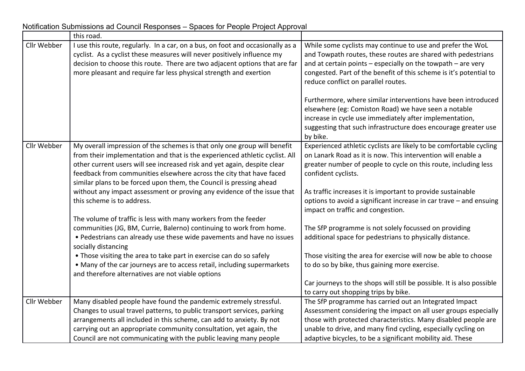|             | this road.                                                                                                                                                                                                                                                                                                                                                                        |                                                                                                                                                                                                                                                                                                                            |
|-------------|-----------------------------------------------------------------------------------------------------------------------------------------------------------------------------------------------------------------------------------------------------------------------------------------------------------------------------------------------------------------------------------|----------------------------------------------------------------------------------------------------------------------------------------------------------------------------------------------------------------------------------------------------------------------------------------------------------------------------|
| Cllr Webber | I use this route, regularly. In a car, on a bus, on foot and occasionally as a<br>cyclist. As a cyclist these measures will never positively influence my<br>decision to choose this route. There are two adjacent options that are far<br>more pleasant and require far less physical strength and exertion                                                                      | While some cyclists may continue to use and prefer the WoL<br>and Towpath routes, these routes are shared with pedestrians<br>and at certain points - especially on the towpath - are very<br>congested. Part of the benefit of this scheme is it's potential to<br>reduce conflict on parallel routes.                    |
|             |                                                                                                                                                                                                                                                                                                                                                                                   | Furthermore, where similar interventions have been introduced<br>elsewhere (eg: Comiston Road) we have seen a notable<br>increase in cycle use immediately after implementation,<br>suggesting that such infrastructure does encourage greater use<br>by bike.                                                             |
| Cllr Webber | My overall impression of the schemes is that only one group will benefit<br>from their implementation and that is the experienced athletic cyclist. All<br>other current users will see increased risk and yet again, despite clear<br>feedback from communities elsewhere across the city that have faced<br>similar plans to be forced upon them, the Council is pressing ahead | Experienced athletic cyclists are likely to be comfortable cycling<br>on Lanark Road as it is now. This intervention will enable a<br>greater number of people to cycle on this route, including less<br>confident cyclists.                                                                                               |
|             | without any impact assessment or proving any evidence of the issue that<br>this scheme is to address.                                                                                                                                                                                                                                                                             | As traffic increases it is important to provide sustainable<br>options to avoid a significant increase in car trave - and ensuing<br>impact on traffic and congestion.                                                                                                                                                     |
|             | The volume of traffic is less with many workers from the feeder<br>communities (JG, BM, Currie, Balerno) continuing to work from home.<br>• Pedestrians can already use these wide pavements and have no issues<br>socially distancing                                                                                                                                            | The SfP programme is not solely focussed on providing<br>additional space for pedestrians to physically distance.                                                                                                                                                                                                          |
|             | • Those visiting the area to take part in exercise can do so safely<br>• Many of the car journeys are to access retail, including supermarkets<br>and therefore alternatives are not viable options                                                                                                                                                                               | Those visiting the area for exercise will now be able to choose<br>to do so by bike, thus gaining more exercise.                                                                                                                                                                                                           |
|             |                                                                                                                                                                                                                                                                                                                                                                                   | Car journeys to the shops will still be possible. It is also possible<br>to carry out shopping trips by bike.                                                                                                                                                                                                              |
| Cllr Webber | Many disabled people have found the pandemic extremely stressful.<br>Changes to usual travel patterns, to public transport services, parking<br>arrangements all included in this scheme, can add to anxiety. By not<br>carrying out an appropriate community consultation, yet again, the<br>Council are not communicating with the public leaving many people                   | The SfP programme has carried out an Integrated Impact<br>Assessment considering the impact on all user groups especially<br>those with protected characteristics. Many disabled people are<br>unable to drive, and many find cycling, especially cycling on<br>adaptive bicycles, to be a significant mobility aid. These |

Notification Submissions ad Council Responses – Spaces for People Project Approval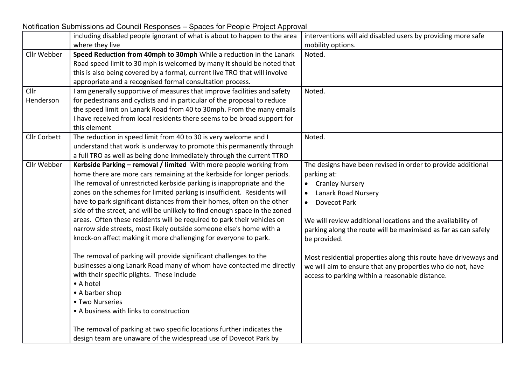Notification Submissions ad Council Responses – Spaces for People Project Approval

|                     | including disabled people ignorant of what is about to happen to the area  | interventions will aid disabled users by providing more safe    |
|---------------------|----------------------------------------------------------------------------|-----------------------------------------------------------------|
|                     | where they live                                                            | mobility options.                                               |
| Cllr Webber         | Speed Reduction from 40mph to 30mph While a reduction in the Lanark        | Noted.                                                          |
|                     | Road speed limit to 30 mph is welcomed by many it should be noted that     |                                                                 |
|                     | this is also being covered by a formal, current live TRO that will involve |                                                                 |
|                     | appropriate and a recognised formal consultation process.                  |                                                                 |
| Cllr                | I am generally supportive of measures that improve facilities and safety   | Noted.                                                          |
| Henderson           | for pedestrians and cyclists and in particular of the proposal to reduce   |                                                                 |
|                     | the speed limit on Lanark Road from 40 to 30mph. From the many emails      |                                                                 |
|                     | I have received from local residents there seems to be broad support for   |                                                                 |
|                     | this element                                                               |                                                                 |
| <b>Cllr Corbett</b> | The reduction in speed limit from 40 to 30 is very welcome and I           | Noted.                                                          |
|                     | understand that work is underway to promote this permanently through       |                                                                 |
|                     | a full TRO as well as being done immediately through the current TTRO      |                                                                 |
| Cllr Webber         | Kerbside Parking - removal / limited With more people working from         | The designs have been revised in order to provide additional    |
|                     | home there are more cars remaining at the kerbside for longer periods.     | parking at:                                                     |
|                     | The removal of unrestricted kerbside parking is inappropriate and the      | <b>Cranley Nursery</b><br>$\bullet$                             |
|                     | zones on the schemes for limited parking is insufficient. Residents will   | Lanark Road Nursery<br>$\bullet$                                |
|                     | have to park significant distances from their homes, often on the other    | <b>Dovecot Park</b><br>$\bullet$                                |
|                     | side of the street, and will be unlikely to find enough space in the zoned |                                                                 |
|                     | areas. Often these residents will be required to park their vehicles on    | We will review additional locations and the availability of     |
|                     | narrow side streets, most likely outside someone else's home with a        | parking along the route will be maximised as far as can safely  |
|                     | knock-on affect making it more challenging for everyone to park.           | be provided.                                                    |
|                     |                                                                            |                                                                 |
|                     | The removal of parking will provide significant challenges to the          | Most residential properties along this route have driveways and |
|                     | businesses along Lanark Road many of whom have contacted me directly       | we will aim to ensure that any properties who do not, have      |
|                     | with their specific plights. These include                                 | access to parking within a reasonable distance.                 |
|                     | • A hotel                                                                  |                                                                 |
|                     | • A barber shop                                                            |                                                                 |
|                     | • Two Nurseries                                                            |                                                                 |
|                     | • A business with links to construction                                    |                                                                 |
|                     | The removal of parking at two specific locations further indicates the     |                                                                 |
|                     | design team are unaware of the widespread use of Dovecot Park by           |                                                                 |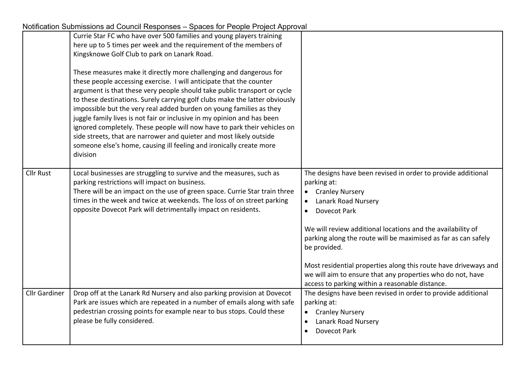|                      | Currie Star FC who have over 500 families and young players training<br>here up to 5 times per week and the requirement of the members of<br>Kingsknowe Golf Club to park on Lanark Road.<br>These measures make it directly more challenging and dangerous for<br>these people accessing exercise. I will anticipate that the counter<br>argument is that these very people should take public transport or cycle<br>to these destinations. Surely carrying golf clubs make the latter obviously<br>impossible but the very real added burden on young families as they<br>juggle family lives is not fair or inclusive in my opinion and has been<br>ignored completely. These people will now have to park their vehicles on<br>side streets, that are narrower and quieter and most likely outside<br>someone else's home, causing ill feeling and ironically create more<br>division |                                                                                                                                                                                                                                                                                                                                                                                                                                                                                                                    |
|----------------------|-------------------------------------------------------------------------------------------------------------------------------------------------------------------------------------------------------------------------------------------------------------------------------------------------------------------------------------------------------------------------------------------------------------------------------------------------------------------------------------------------------------------------------------------------------------------------------------------------------------------------------------------------------------------------------------------------------------------------------------------------------------------------------------------------------------------------------------------------------------------------------------------|--------------------------------------------------------------------------------------------------------------------------------------------------------------------------------------------------------------------------------------------------------------------------------------------------------------------------------------------------------------------------------------------------------------------------------------------------------------------------------------------------------------------|
| <b>Cllr Rust</b>     | Local businesses are struggling to survive and the measures, such as<br>parking restrictions will impact on business.<br>There will be an impact on the use of green space. Currie Star train three<br>times in the week and twice at weekends. The loss of on street parking<br>opposite Dovecot Park will detrimentally impact on residents.                                                                                                                                                                                                                                                                                                                                                                                                                                                                                                                                            | The designs have been revised in order to provide additional<br>parking at:<br><b>Cranley Nursery</b><br>$\bullet$<br>Lanark Road Nursery<br>$\bullet$<br><b>Dovecot Park</b><br>We will review additional locations and the availability of<br>parking along the route will be maximised as far as can safely<br>be provided.<br>Most residential properties along this route have driveways and<br>we will aim to ensure that any properties who do not, have<br>access to parking within a reasonable distance. |
| <b>Cllr Gardiner</b> | Drop off at the Lanark Rd Nursery and also parking provision at Dovecot<br>Park are issues which are repeated in a number of emails along with safe<br>pedestrian crossing points for example near to bus stops. Could these<br>please be fully considered.                                                                                                                                                                                                                                                                                                                                                                                                                                                                                                                                                                                                                               | The designs have been revised in order to provide additional<br>parking at:<br><b>Cranley Nursery</b><br>Lanark Road Nursery<br><b>Dovecot Park</b>                                                                                                                                                                                                                                                                                                                                                                |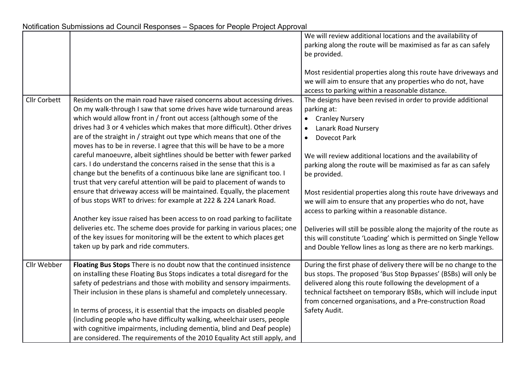|                     |                                                                            | We will review additional locations and the availability of          |
|---------------------|----------------------------------------------------------------------------|----------------------------------------------------------------------|
|                     |                                                                            | parking along the route will be maximised as far as can safely       |
|                     |                                                                            | be provided.                                                         |
|                     |                                                                            |                                                                      |
|                     |                                                                            | Most residential properties along this route have driveways and      |
|                     |                                                                            | we will aim to ensure that any properties who do not, have           |
|                     |                                                                            | access to parking within a reasonable distance.                      |
| <b>Cllr Corbett</b> | Residents on the main road have raised concerns about accessing drives.    | The designs have been revised in order to provide additional         |
|                     | On my walk-through I saw that some drives have wide turnaround areas       | parking at:                                                          |
|                     | which would allow front in / front out access (although some of the        | <b>Cranley Nursery</b><br>$\bullet$                                  |
|                     | drives had 3 or 4 vehicles which makes that more difficult). Other drives  | Lanark Road Nursery<br>$\bullet$                                     |
|                     | are of the straight in / straight out type which means that one of the     | Dovecot Park<br>$\bullet$                                            |
|                     | moves has to be in reverse. I agree that this will be have to be a more    |                                                                      |
|                     | careful manoeuvre, albeit sightlines should be better with fewer parked    | We will review additional locations and the availability of          |
|                     | cars. I do understand the concerns raised in the sense that this is a      | parking along the route will be maximised as far as can safely       |
|                     | change but the benefits of a continuous bike lane are significant too. I   | be provided.                                                         |
|                     | trust that very careful attention will be paid to placement of wands to    |                                                                      |
|                     | ensure that driveway access will be maintained. Equally, the placement     | Most residential properties along this route have driveways and      |
|                     | of bus stops WRT to drives: for example at 222 & 224 Lanark Road.          | we will aim to ensure that any properties who do not, have           |
|                     |                                                                            | access to parking within a reasonable distance.                      |
|                     | Another key issue raised has been access to on road parking to facilitate  |                                                                      |
|                     | deliveries etc. The scheme does provide for parking in various places; one | Deliveries will still be possible along the majority of the route as |
|                     | of the key issues for monitoring will be the extent to which places get    | this will constitute 'Loading' which is permitted on Single Yellow   |
|                     | taken up by park and ride commuters.                                       | and Double Yellow lines as long as there are no kerb markings.       |
|                     |                                                                            |                                                                      |
| Cllr Webber         | Floating Bus Stops There is no doubt now that the continued insistence     | During the first phase of delivery there will be no change to the    |
|                     | on installing these Floating Bus Stops indicates a total disregard for the | bus stops. The proposed 'Bus Stop Bypasses' (BSBs) will only be      |
|                     | safety of pedestrians and those with mobility and sensory impairments.     | delivered along this route following the development of a            |
|                     | Their inclusion in these plans is shameful and completely unnecessary.     | technical factsheet on temporary BSBs, which will include input      |
|                     |                                                                            | from concerned organisations, and a Pre-construction Road            |
|                     | In terms of process, it is essential that the impacts on disabled people   | Safety Audit.                                                        |
|                     | (including people who have difficulty walking, wheelchair users, people    |                                                                      |
|                     | with cognitive impairments, including dementia, blind and Deaf people)     |                                                                      |
|                     | are considered. The requirements of the 2010 Equality Act still apply, and |                                                                      |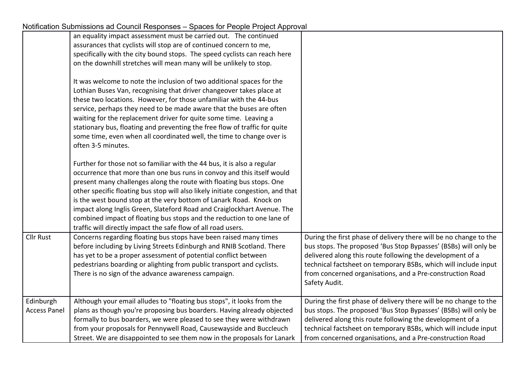| Notification Submissions ad Council Responses - Spaces for People Project Approval |                                                                                                                                                                                                                                                                                                                                                                                                                                                                                                                                                                                                          |                                                                                                                                                                                                                                                                                                                                                    |
|------------------------------------------------------------------------------------|----------------------------------------------------------------------------------------------------------------------------------------------------------------------------------------------------------------------------------------------------------------------------------------------------------------------------------------------------------------------------------------------------------------------------------------------------------------------------------------------------------------------------------------------------------------------------------------------------------|----------------------------------------------------------------------------------------------------------------------------------------------------------------------------------------------------------------------------------------------------------------------------------------------------------------------------------------------------|
|                                                                                    | an equality impact assessment must be carried out. The continued                                                                                                                                                                                                                                                                                                                                                                                                                                                                                                                                         |                                                                                                                                                                                                                                                                                                                                                    |
|                                                                                    | assurances that cyclists will stop are of continued concern to me,                                                                                                                                                                                                                                                                                                                                                                                                                                                                                                                                       |                                                                                                                                                                                                                                                                                                                                                    |
|                                                                                    | specifically with the city bound stops. The speed cyclists can reach here                                                                                                                                                                                                                                                                                                                                                                                                                                                                                                                                |                                                                                                                                                                                                                                                                                                                                                    |
|                                                                                    | on the downhill stretches will mean many will be unlikely to stop.                                                                                                                                                                                                                                                                                                                                                                                                                                                                                                                                       |                                                                                                                                                                                                                                                                                                                                                    |
|                                                                                    | It was welcome to note the inclusion of two additional spaces for the<br>Lothian Buses Van, recognising that driver changeover takes place at<br>these two locations. However, for those unfamiliar with the 44-bus<br>service, perhaps they need to be made aware that the buses are often<br>waiting for the replacement driver for quite some time. Leaving a<br>stationary bus, floating and preventing the free flow of traffic for quite<br>some time, even when all coordinated well, the time to change over is<br>often 3-5 minutes.                                                            |                                                                                                                                                                                                                                                                                                                                                    |
|                                                                                    | Further for those not so familiar with the 44 bus, it is also a regular<br>occurrence that more than one bus runs in convoy and this itself would<br>present many challenges along the route with floating bus stops. One<br>other specific floating bus stop will also likely initiate congestion, and that<br>is the west bound stop at the very bottom of Lanark Road. Knock on<br>impact along Inglis Green, Slateford Road and Craiglockhart Avenue. The<br>combined impact of floating bus stops and the reduction to one lane of<br>traffic will directly impact the safe flow of all road users. |                                                                                                                                                                                                                                                                                                                                                    |
| <b>Cllr Rust</b>                                                                   | Concerns regarding floating bus stops have been raised many times<br>before including by Living Streets Edinburgh and RNIB Scotland. There<br>has yet to be a proper assessment of potential conflict between<br>pedestrians boarding or alighting from public transport and cyclists.<br>There is no sign of the advance awareness campaign.                                                                                                                                                                                                                                                            | During the first phase of delivery there will be no change to the<br>bus stops. The proposed 'Bus Stop Bypasses' (BSBs) will only be<br>delivered along this route following the development of a<br>technical factsheet on temporary BSBs, which will include input<br>from concerned organisations, and a Pre-construction Road<br>Safety Audit. |
| Edinburgh<br><b>Access Panel</b>                                                   | Although your email alludes to "floating bus stops", it looks from the<br>plans as though you're proposing bus boarders. Having already objected<br>formally to bus boarders, we were pleased to see they were withdrawn<br>from your proposals for Pennywell Road, Causewayside and Buccleuch<br>Street. We are disappointed to see them now in the proposals for Lanark                                                                                                                                                                                                                                | During the first phase of delivery there will be no change to the<br>bus stops. The proposed 'Bus Stop Bypasses' (BSBs) will only be<br>delivered along this route following the development of a<br>technical factsheet on temporary BSBs, which will include input<br>from concerned organisations, and a Pre-construction Road                  |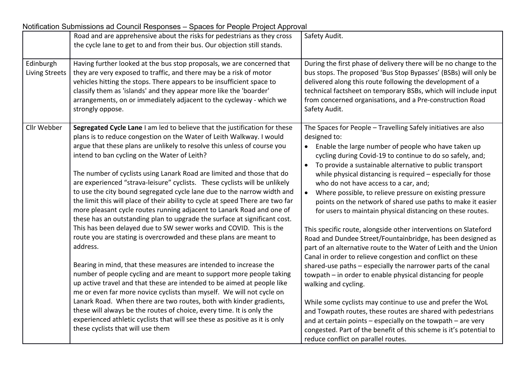|                                    | Road and are apprehensive about the risks for pedestrians as they cross<br>the cycle lane to get to and from their bus. Our objection still stands.                                                                                                                                                                                                                                                                                                                                                                                                                                                                                                                                                                                                                                                                                                                                                                                                                                                                                                                                                                                                                                                                                                                                                                                                                                                                                                                                   | Safety Audit.                                                                                                                                                                                                                                                                                                                                                                                                                                                                                                                                                                                                                                                                                                                                                                                                                                                                                                                                                                                                                                                                                                                                                                                                                                                                                                                     |
|------------------------------------|---------------------------------------------------------------------------------------------------------------------------------------------------------------------------------------------------------------------------------------------------------------------------------------------------------------------------------------------------------------------------------------------------------------------------------------------------------------------------------------------------------------------------------------------------------------------------------------------------------------------------------------------------------------------------------------------------------------------------------------------------------------------------------------------------------------------------------------------------------------------------------------------------------------------------------------------------------------------------------------------------------------------------------------------------------------------------------------------------------------------------------------------------------------------------------------------------------------------------------------------------------------------------------------------------------------------------------------------------------------------------------------------------------------------------------------------------------------------------------------|-----------------------------------------------------------------------------------------------------------------------------------------------------------------------------------------------------------------------------------------------------------------------------------------------------------------------------------------------------------------------------------------------------------------------------------------------------------------------------------------------------------------------------------------------------------------------------------------------------------------------------------------------------------------------------------------------------------------------------------------------------------------------------------------------------------------------------------------------------------------------------------------------------------------------------------------------------------------------------------------------------------------------------------------------------------------------------------------------------------------------------------------------------------------------------------------------------------------------------------------------------------------------------------------------------------------------------------|
| Edinburgh<br><b>Living Streets</b> | Having further looked at the bus stop proposals, we are concerned that<br>they are very exposed to traffic, and there may be a risk of motor<br>vehicles hitting the stops. There appears to be insufficient space to<br>classify them as 'islands' and they appear more like the 'boarder'<br>arrangements, on or immediately adjacent to the cycleway - which we<br>strongly oppose.                                                                                                                                                                                                                                                                                                                                                                                                                                                                                                                                                                                                                                                                                                                                                                                                                                                                                                                                                                                                                                                                                                | During the first phase of delivery there will be no change to the<br>bus stops. The proposed 'Bus Stop Bypasses' (BSBs) will only be<br>delivered along this route following the development of a<br>technical factsheet on temporary BSBs, which will include input<br>from concerned organisations, and a Pre-construction Road<br>Safety Audit.                                                                                                                                                                                                                                                                                                                                                                                                                                                                                                                                                                                                                                                                                                                                                                                                                                                                                                                                                                                |
| Cllr Webber                        | Segregated Cycle Lane I am led to believe that the justification for these<br>plans is to reduce congestion on the Water of Leith Walkway. I would<br>argue that these plans are unlikely to resolve this unless of course you<br>intend to ban cycling on the Water of Leith?<br>The number of cyclists using Lanark Road are limited and those that do<br>are experienced "strava-leisure" cyclists. These cyclists will be unlikely<br>to use the city bound segregated cycle lane due to the narrow width and<br>the limit this will place of their ability to cycle at speed There are two far<br>more pleasant cycle routes running adjacent to Lanark Road and one of<br>these has an outstanding plan to upgrade the surface at significant cost.<br>This has been delayed due to SW sewer works and COVID. This is the<br>route you are stating is overcrowded and these plans are meant to<br>address.<br>Bearing in mind, that these measures are intended to increase the<br>number of people cycling and are meant to support more people taking<br>up active travel and that these are intended to be aimed at people like<br>me or even far more novice cyclists than myself. We will not cycle on<br>Lanark Road. When there are two routes, both with kinder gradients,<br>these will always be the routes of choice, every time. It is only the<br>experienced athletic cyclists that will see these as positive as it is only<br>these cyclists that will use them | The Spaces for People - Travelling Safely initiatives are also<br>designed to:<br>Enable the large number of people who have taken up<br>cycling during Covid-19 to continue to do so safely, and;<br>To provide a sustainable alternative to public transport<br>$\bullet$<br>while physical distancing is required - especially for those<br>who do not have access to a car, and;<br>Where possible, to relieve pressure on existing pressure<br>$\bullet$<br>points on the network of shared use paths to make it easier<br>for users to maintain physical distancing on these routes.<br>This specific route, alongside other interventions on Slateford<br>Road and Dundee Street/Fountainbridge, has been designed as<br>part of an alternative route to the Water of Leith and the Union<br>Canal in order to relieve congestion and conflict on these<br>shared-use paths - especially the narrower parts of the canal<br>towpath – in order to enable physical distancing for people<br>walking and cycling.<br>While some cyclists may continue to use and prefer the WoL<br>and Towpath routes, these routes are shared with pedestrians<br>and at certain points - especially on the towpath - are very<br>congested. Part of the benefit of this scheme is it's potential to<br>reduce conflict on parallel routes. |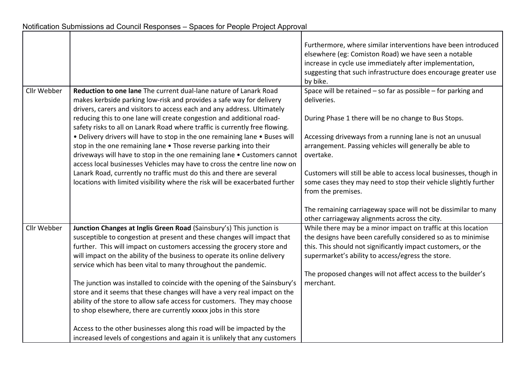|             |                                                                                                                                                                                                                                                                                                                                                                         | Furthermore, where similar interventions have been introduced<br>elsewhere (eg: Comiston Road) we have seen a notable<br>increase in cycle use immediately after implementation,<br>suggesting that such infrastructure does encourage greater use<br>by bike. |
|-------------|-------------------------------------------------------------------------------------------------------------------------------------------------------------------------------------------------------------------------------------------------------------------------------------------------------------------------------------------------------------------------|----------------------------------------------------------------------------------------------------------------------------------------------------------------------------------------------------------------------------------------------------------------|
| Cllr Webber | Reduction to one lane The current dual-lane nature of Lanark Road<br>makes kerbside parking low-risk and provides a safe way for delivery<br>drivers, carers and visitors to access each and any address. Ultimately                                                                                                                                                    | Space will be retained $-$ so far as possible $-$ for parking and<br>deliveries.                                                                                                                                                                               |
|             | reducing this to one lane will create congestion and additional road-<br>safety risks to all on Lanark Road where traffic is currently free flowing.                                                                                                                                                                                                                    | During Phase 1 there will be no change to Bus Stops.                                                                                                                                                                                                           |
|             | • Delivery drivers will have to stop in the one remaining lane • Buses will<br>stop in the one remaining lane . Those reverse parking into their<br>driveways will have to stop in the one remaining lane . Customers cannot<br>access local businesses Vehicles may have to cross the centre line now on                                                               | Accessing driveways from a running lane is not an unusual<br>arrangement. Passing vehicles will generally be able to<br>overtake.                                                                                                                              |
|             | Lanark Road, currently no traffic must do this and there are several<br>locations with limited visibility where the risk will be exacerbated further                                                                                                                                                                                                                    | Customers will still be able to access local businesses, though in<br>some cases they may need to stop their vehicle slightly further<br>from the premises.                                                                                                    |
|             |                                                                                                                                                                                                                                                                                                                                                                         | The remaining carriageway space will not be dissimilar to many<br>other carriageway alignments across the city.                                                                                                                                                |
| Cllr Webber | Junction Changes at Inglis Green Road (Sainsbury's) This junction is<br>susceptible to congestion at present and these changes will impact that<br>further. This will impact on customers accessing the grocery store and<br>will impact on the ability of the business to operate its online delivery<br>service which has been vital to many throughout the pandemic. | While there may be a minor impact on traffic at this location<br>the designs have been carefully considered so as to minimise<br>this. This should not significantly impact customers, or the<br>supermarket's ability to access/egress the store.             |
|             | The junction was installed to coincide with the opening of the Sainsbury's<br>store and it seems that these changes will have a very real impact on the<br>ability of the store to allow safe access for customers. They may choose<br>to shop elsewhere, there are currently xxxxx jobs in this store                                                                  | The proposed changes will not affect access to the builder's<br>merchant.                                                                                                                                                                                      |
|             | Access to the other businesses along this road will be impacted by the<br>increased levels of congestions and again it is unlikely that any customers                                                                                                                                                                                                                   |                                                                                                                                                                                                                                                                |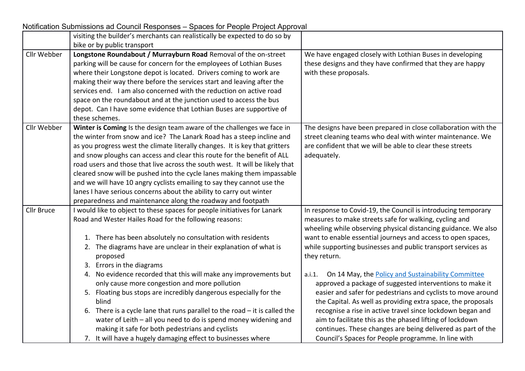|                   | visiting the builder's merchants can realistically be expected to do so by   |                                                                |
|-------------------|------------------------------------------------------------------------------|----------------------------------------------------------------|
|                   | bike or by public transport                                                  |                                                                |
| Cllr Webber       | Longstone Roundabout / Murrayburn Road Removal of the on-street              | We have engaged closely with Lothian Buses in developing       |
|                   | parking will be cause for concern for the employees of Lothian Buses         | these designs and they have confirmed that they are happy      |
|                   | where their Longstone depot is located. Drivers coming to work are           | with these proposals.                                          |
|                   | making their way there before the services start and leaving after the       |                                                                |
|                   | services end. I am also concerned with the reduction on active road          |                                                                |
|                   | space on the roundabout and at the junction used to access the bus           |                                                                |
|                   | depot. Can I have some evidence that Lothian Buses are supportive of         |                                                                |
|                   | these schemes.                                                               |                                                                |
| Cllr Webber       | Winter is Coming Is the design team aware of the challenges we face in       | The designs have been prepared in close collaboration with the |
|                   | the winter from snow and ice? The Lanark Road has a steep incline and        | street cleaning teams who deal with winter maintenance. We     |
|                   | as you progress west the climate literally changes. It is key that gritters  | are confident that we will be able to clear these streets      |
|                   | and snow ploughs can access and clear this route for the benefit of ALL      | adequately.                                                    |
|                   | road users and those that live across the south west. It will be likely that |                                                                |
|                   | cleared snow will be pushed into the cycle lanes making them impassable      |                                                                |
|                   | and we will have 10 angry cyclists emailing to say they cannot use the       |                                                                |
|                   | lanes I have serious concerns about the ability to carry out winter          |                                                                |
|                   | preparedness and maintenance along the roadway and footpath                  |                                                                |
| <b>Cllr Bruce</b> | I would like to object to these spaces for people initiatives for Lanark     | In response to Covid-19, the Council is introducing temporary  |
|                   | Road and Wester Hailes Road for the following reasons:                       | measures to make streets safe for walking, cycling and         |
|                   |                                                                              | wheeling while observing physical distancing guidance. We also |
|                   | 1. There has been absolutely no consultation with residents                  | want to enable essential journeys and access to open spaces,   |
|                   | 2. The diagrams have are unclear in their explanation of what is             | while supporting businesses and public transport services as   |
|                   | proposed                                                                     | they return.                                                   |
|                   | 3. Errors in the diagrams                                                    |                                                                |
|                   | 4. No evidence recorded that this will make any improvements but             | On 14 May, the Policy and Sustainability Committee<br>a.i.1.   |
|                   | only cause more congestion and more pollution                                | approved a package of suggested interventions to make it       |
|                   | 5. Floating bus stops are incredibly dangerous especially for the            | easier and safer for pedestrians and cyclists to move around   |
|                   | blind                                                                        | the Capital. As well as providing extra space, the proposals   |
|                   | 6. There is a cycle lane that runs parallel to the road $-$ it is called the | recognise a rise in active travel since lockdown began and     |
|                   | water of Leith - all you need to do is spend money widening and              | aim to facilitate this as the phased lifting of lockdown       |
|                   | making it safe for both pedestrians and cyclists                             | continues. These changes are being delivered as part of the    |
|                   | 7. It will have a hugely damaging effect to businesses where                 | Council's Spaces for People programme. In line with            |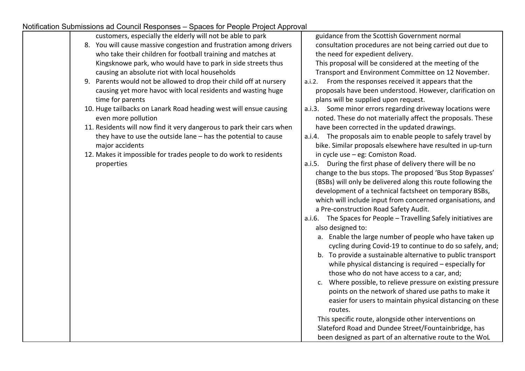| on oublinesions ad Oodnon Rosponsos — Opacos for Foopio Frojoci Approval |                                                                  |
|--------------------------------------------------------------------------|------------------------------------------------------------------|
| customers, especially the elderly will not be able to park               | guidance from the Scottish Government normal                     |
| 8. You will cause massive congestion and frustration among drivers       | consultation procedures are not being carried out due to         |
| who take their children for football training and matches at             | the need for expedient delivery.                                 |
| Kingsknowe park, who would have to park in side streets thus             | This proposal will be considered at the meeting of the           |
| causing an absolute riot with local households                           | Transport and Environment Committee on 12 November.              |
| 9. Parents would not be allowed to drop their child off at nursery       | a.i.2. From the responses received it appears that the           |
| causing yet more havoc with local residents and wasting huge             | proposals have been understood. However, clarification on        |
| time for parents                                                         | plans will be supplied upon request.                             |
| 10. Huge tailbacks on Lanark Road heading west will ensue causing        | a.i.3. Some minor errors regarding driveway locations were       |
| even more pollution                                                      | noted. These do not materially affect the proposals. These       |
| 11. Residents will now find it very dangerous to park their cars when    | have been corrected in the updated drawings.                     |
| they have to use the outside lane - has the potential to cause           | a.i.4. The proposals aim to enable people to safely travel by    |
| major accidents                                                          | bike. Similar proposals elsewhere have resulted in up-turn       |
| 12. Makes it impossible for trades people to do work to residents        | in cycle use $-$ eg: Comiston Road.                              |
| properties                                                               | a.i.5. During the first phase of delivery there will be no       |
|                                                                          | change to the bus stops. The proposed 'Bus Stop Bypasses'        |
|                                                                          | (BSBs) will only be delivered along this route following the     |
|                                                                          | development of a technical factsheet on temporary BSBs,          |
|                                                                          | which will include input from concerned organisations, and       |
|                                                                          | a Pre-construction Road Safety Audit.                            |
|                                                                          | a.i.6. The Spaces for People - Travelling Safely initiatives are |
|                                                                          | also designed to:                                                |
|                                                                          | a. Enable the large number of people who have taken up           |
|                                                                          | cycling during Covid-19 to continue to do so safely, and;        |
|                                                                          | b. To provide a sustainable alternative to public transport      |
|                                                                          | while physical distancing is required - especially for           |
|                                                                          | those who do not have access to a car, and;                      |
|                                                                          | c. Where possible, to relieve pressure on existing pressure      |
|                                                                          | points on the network of shared use paths to make it             |
|                                                                          | easier for users to maintain physical distancing on these        |
|                                                                          | routes.                                                          |
|                                                                          | This specific route, alongside other interventions on            |
|                                                                          | Slateford Road and Dundee Street/Fountainbridge, has             |
|                                                                          | been designed as part of an alternative route to the WoL         |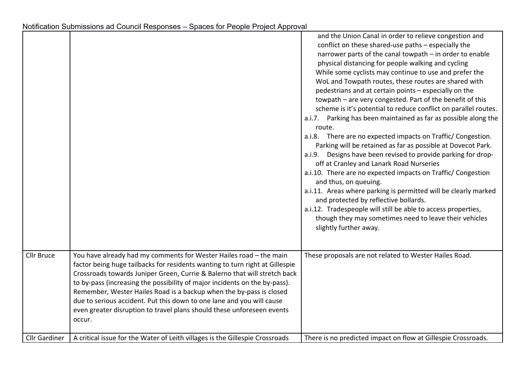|                      |                                                                                                                                                                                                                                                                                                                                                                                                                                                                                                                                                   | and the Union Canal in order to relieve congestion and<br>conflict on these shared-use paths - especially the<br>narrower parts of the canal towpath - in order to enable<br>physical distancing for people walking and cycling<br>While some cyclists may continue to use and prefer the<br>WoL and Towpath routes, these routes are shared with<br>pedestrians and at certain points - especially on the<br>towpath - are very congested. Part of the benefit of this<br>scheme is it's potential to reduce conflict on parallel routes.<br>a.i.7. Parking has been maintained as far as possible along the<br>route.<br>a.i.8. There are no expected impacts on Traffic/Congestion.<br>Parking will be retained as far as possible at Dovecot Park.<br>a.i.9. Designs have been revised to provide parking for drop-<br>off at Cranley and Lanark Road Nurseries<br>a.i.10. There are no expected impacts on Traffic/Congestion<br>and thus, on queuing.<br>a.i.11. Areas where parking is permitted will be clearly marked<br>and protected by reflective bollards.<br>a.i.12. Tradespeople will still be able to access properties,<br>though they may sometimes need to leave their vehicles<br>slightly further away. |
|----------------------|---------------------------------------------------------------------------------------------------------------------------------------------------------------------------------------------------------------------------------------------------------------------------------------------------------------------------------------------------------------------------------------------------------------------------------------------------------------------------------------------------------------------------------------------------|------------------------------------------------------------------------------------------------------------------------------------------------------------------------------------------------------------------------------------------------------------------------------------------------------------------------------------------------------------------------------------------------------------------------------------------------------------------------------------------------------------------------------------------------------------------------------------------------------------------------------------------------------------------------------------------------------------------------------------------------------------------------------------------------------------------------------------------------------------------------------------------------------------------------------------------------------------------------------------------------------------------------------------------------------------------------------------------------------------------------------------------------------------------------------------------------------------------------------|
| <b>Cllr Bruce</b>    | You have already had my comments for Wester Hailes road - the main<br>factor being huge tailbacks for residents wanting to turn right at Gillespie<br>Crossroads towards Juniper Green, Currie & Balerno that will stretch back<br>to by-pass (increasing the possibility of major incidents on the by-pass).<br>Remember, Wester Hailes Road is a backup when the by-pass is closed<br>due to serious accident. Put this down to one lane and you will cause<br>even greater disruption to travel plans should these unforeseen events<br>occur. | These proposals are not related to Wester Hailes Road.                                                                                                                                                                                                                                                                                                                                                                                                                                                                                                                                                                                                                                                                                                                                                                                                                                                                                                                                                                                                                                                                                                                                                                       |
| <b>Cllr Gardiner</b> | A critical issue for the Water of Leith villages is the Gillespie Crossroads                                                                                                                                                                                                                                                                                                                                                                                                                                                                      | There is no predicted impact on flow at Gillespie Crossroads.                                                                                                                                                                                                                                                                                                                                                                                                                                                                                                                                                                                                                                                                                                                                                                                                                                                                                                                                                                                                                                                                                                                                                                |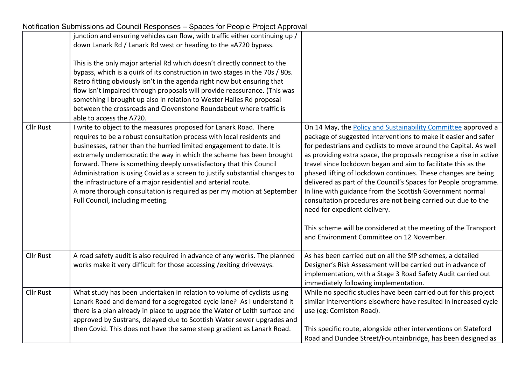|                  | Uniformation Capithopions ad Ocanom Rosponses - Opaces for Feople Froject Apple var                                                                                                                                                                                                                                                                                                                                                                                                                                                                                                                                             |                                                                                                                                                                                                                                                                                                                                                                                                                                                                                                                                                                                                                                                                                                                                                            |
|------------------|---------------------------------------------------------------------------------------------------------------------------------------------------------------------------------------------------------------------------------------------------------------------------------------------------------------------------------------------------------------------------------------------------------------------------------------------------------------------------------------------------------------------------------------------------------------------------------------------------------------------------------|------------------------------------------------------------------------------------------------------------------------------------------------------------------------------------------------------------------------------------------------------------------------------------------------------------------------------------------------------------------------------------------------------------------------------------------------------------------------------------------------------------------------------------------------------------------------------------------------------------------------------------------------------------------------------------------------------------------------------------------------------------|
|                  | junction and ensuring vehicles can flow, with traffic either continuing up /<br>down Lanark Rd / Lanark Rd west or heading to the aA720 bypass.                                                                                                                                                                                                                                                                                                                                                                                                                                                                                 |                                                                                                                                                                                                                                                                                                                                                                                                                                                                                                                                                                                                                                                                                                                                                            |
|                  | This is the only major arterial Rd which doesn't directly connect to the<br>bypass, which is a quirk of its construction in two stages in the 70s / 80s.<br>Retro fitting obviously isn't in the agenda right now but ensuring that<br>flow isn't impaired through proposals will provide reassurance. (This was<br>something I brought up also in relation to Wester Hailes Rd proposal<br>between the crossroads and Clovenstone Roundabout where traffic is<br>able to access the A720.                                                                                                                                      |                                                                                                                                                                                                                                                                                                                                                                                                                                                                                                                                                                                                                                                                                                                                                            |
| <b>Cllr Rust</b> | I write to object to the measures proposed for Lanark Road. There<br>requires to be a robust consultation process with local residents and<br>businesses, rather than the hurried limited engagement to date. It is<br>extremely undemocratic the way in which the scheme has been brought<br>forward. There is something deeply unsatisfactory that this Council<br>Administration is using Covid as a screen to justify substantial changes to<br>the infrastructure of a major residential and arterial route.<br>A more thorough consultation is required as per my motion at September<br>Full Council, including meeting. | On 14 May, the Policy and Sustainability Committee approved a<br>package of suggested interventions to make it easier and safer<br>for pedestrians and cyclists to move around the Capital. As well<br>as providing extra space, the proposals recognise a rise in active<br>travel since lockdown began and aim to facilitate this as the<br>phased lifting of lockdown continues. These changes are being<br>delivered as part of the Council's Spaces for People programme.<br>In line with guidance from the Scottish Government normal<br>consultation procedures are not being carried out due to the<br>need for expedient delivery.<br>This scheme will be considered at the meeting of the Transport<br>and Environment Committee on 12 November. |
| <b>Cllr Rust</b> | A road safety audit is also required in advance of any works. The planned<br>works make it very difficult for those accessing / exiting driveways.                                                                                                                                                                                                                                                                                                                                                                                                                                                                              | As has been carried out on all the SfP schemes, a detailed<br>Designer's Risk Assessment will be carried out in advance of<br>implementation, with a Stage 3 Road Safety Audit carried out<br>immediately following implementation.                                                                                                                                                                                                                                                                                                                                                                                                                                                                                                                        |
| <b>Cllr Rust</b> | What study has been undertaken in relation to volume of cyclists using<br>Lanark Road and demand for a segregated cycle lane? As I understand it<br>there is a plan already in place to upgrade the Water of Leith surface and<br>approved by Sustrans, delayed due to Scottish Water sewer upgrades and                                                                                                                                                                                                                                                                                                                        | While no specific studies have been carried out for this project<br>similar interventions elsewhere have resulted in increased cycle<br>use (eg: Comiston Road).                                                                                                                                                                                                                                                                                                                                                                                                                                                                                                                                                                                           |
|                  | then Covid. This does not have the same steep gradient as Lanark Road.                                                                                                                                                                                                                                                                                                                                                                                                                                                                                                                                                          | This specific route, alongside other interventions on Slateford<br>Road and Dundee Street/Fountainbridge, has been designed as                                                                                                                                                                                                                                                                                                                                                                                                                                                                                                                                                                                                                             |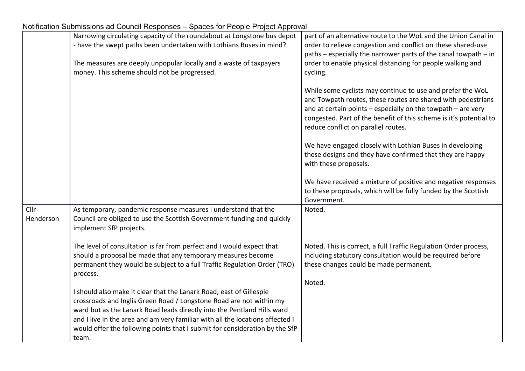|           | Narrowing circulating capacity of the roundabout at Longstone bus depot       | part of an alternative route to the WoL and the Union Canal in                                                                         |
|-----------|-------------------------------------------------------------------------------|----------------------------------------------------------------------------------------------------------------------------------------|
|           | - have the swept paths been undertaken with Lothians Buses in mind?           | order to relieve congestion and conflict on these shared-use                                                                           |
|           |                                                                               | paths - especially the narrower parts of the canal towpath - in                                                                        |
|           | The measures are deeply unpopular locally and a waste of taxpayers            | order to enable physical distancing for people walking and                                                                             |
|           | money. This scheme should not be progressed.                                  | cycling.                                                                                                                               |
|           |                                                                               |                                                                                                                                        |
|           |                                                                               | While some cyclists may continue to use and prefer the WoL                                                                             |
|           |                                                                               | and Towpath routes, these routes are shared with pedestrians                                                                           |
|           |                                                                               | and at certain points $-$ especially on the towpath $-$ are very<br>congested. Part of the benefit of this scheme is it's potential to |
|           |                                                                               | reduce conflict on parallel routes.                                                                                                    |
|           |                                                                               |                                                                                                                                        |
|           |                                                                               | We have engaged closely with Lothian Buses in developing                                                                               |
|           |                                                                               | these designs and they have confirmed that they are happy                                                                              |
|           |                                                                               | with these proposals.                                                                                                                  |
|           |                                                                               |                                                                                                                                        |
|           |                                                                               | We have received a mixture of positive and negative responses                                                                          |
|           |                                                                               | to these proposals, which will be fully funded by the Scottish                                                                         |
|           |                                                                               | Government.                                                                                                                            |
| Cllr      | As temporary, pandemic response measures I understand that the                | Noted.                                                                                                                                 |
| Henderson | Council are obliged to use the Scottish Government funding and quickly        |                                                                                                                                        |
|           | implement SfP projects.                                                       |                                                                                                                                        |
|           | The level of consultation is far from perfect and I would expect that         | Noted. This is correct, a full Traffic Regulation Order process,                                                                       |
|           | should a proposal be made that any temporary measures become                  | including statutory consultation would be required before                                                                              |
|           | permanent they would be subject to a full Traffic Regulation Order (TRO)      | these changes could be made permanent.                                                                                                 |
|           | process.                                                                      |                                                                                                                                        |
|           |                                                                               | Noted.                                                                                                                                 |
|           | I should also make it clear that the Lanark Road, east of Gillespie           |                                                                                                                                        |
|           | crossroads and Inglis Green Road / Longstone Road are not within my           |                                                                                                                                        |
|           | ward but as the Lanark Road leads directly into the Pentland Hills ward       |                                                                                                                                        |
|           | and I live in the area and am very familiar with all the locations affected I |                                                                                                                                        |
|           | would offer the following points that I submit for consideration by the SfP   |                                                                                                                                        |
|           | team.                                                                         |                                                                                                                                        |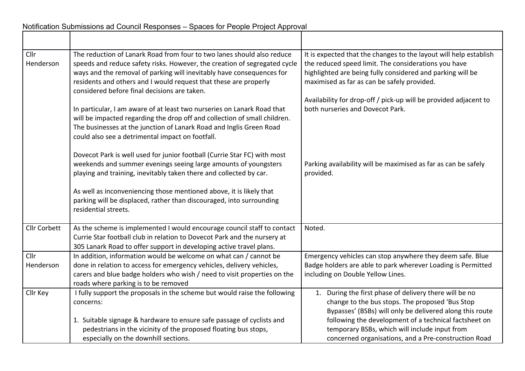| Cllr<br>Henderson | The reduction of Lanark Road from four to two lanes should also reduce<br>speeds and reduce safety risks. However, the creation of segregated cycle<br>ways and the removal of parking will inevitably have consequences for<br>residents and others and I would request that these are properly<br>considered before final decisions are taken. | It is expected that the changes to the layout will help establish<br>the reduced speed limit. The considerations you have<br>highlighted are being fully considered and parking will be<br>maximised as far as can be safely provided. |
|-------------------|--------------------------------------------------------------------------------------------------------------------------------------------------------------------------------------------------------------------------------------------------------------------------------------------------------------------------------------------------|----------------------------------------------------------------------------------------------------------------------------------------------------------------------------------------------------------------------------------------|
|                   | In particular, I am aware of at least two nurseries on Lanark Road that<br>will be impacted regarding the drop off and collection of small children.<br>The businesses at the junction of Lanark Road and Inglis Green Road<br>could also see a detrimental impact on footfall.                                                                  | Availability for drop-off / pick-up will be provided adjacent to<br>both nurseries and Dovecot Park.                                                                                                                                   |
|                   | Dovecot Park is well used for junior football (Currie Star FC) with most<br>weekends and summer evenings seeing large amounts of youngsters<br>playing and training, inevitably taken there and collected by car.                                                                                                                                | Parking availability will be maximised as far as can be safely<br>provided.                                                                                                                                                            |
|                   | As well as inconveniencing those mentioned above, it is likely that<br>parking will be displaced, rather than discouraged, into surrounding<br>residential streets.                                                                                                                                                                              |                                                                                                                                                                                                                                        |
| Cllr Corbett      | As the scheme is implemented I would encourage council staff to contact<br>Currie Star football club in relation to Dovecot Park and the nursery at<br>305 Lanark Road to offer support in developing active travel plans.                                                                                                                       | Noted.                                                                                                                                                                                                                                 |
| Cllr<br>Henderson | In addition, information would be welcome on what can / cannot be<br>done in relation to access for emergency vehicles, delivery vehicles,<br>carers and blue badge holders who wish / need to visit properties on the<br>roads where parking is to be removed                                                                                   | Emergency vehicles can stop anywhere they deem safe. Blue<br>Badge holders are able to park wherever Loading is Permitted<br>including on Double Yellow Lines.                                                                         |
| Cllr Key          | I fully support the proposals in the scheme but would raise the following<br>concerns:                                                                                                                                                                                                                                                           | 1. During the first phase of delivery there will be no<br>change to the bus stops. The proposed 'Bus Stop<br>Bypasses' (BSBs) will only be delivered along this route                                                                  |
|                   | 1. Suitable signage & hardware to ensure safe passage of cyclists and<br>pedestrians in the vicinity of the proposed floating bus stops,<br>especially on the downhill sections.                                                                                                                                                                 | following the development of a technical factsheet on<br>temporary BSBs, which will include input from<br>concerned organisations, and a Pre-construction Road                                                                         |

٦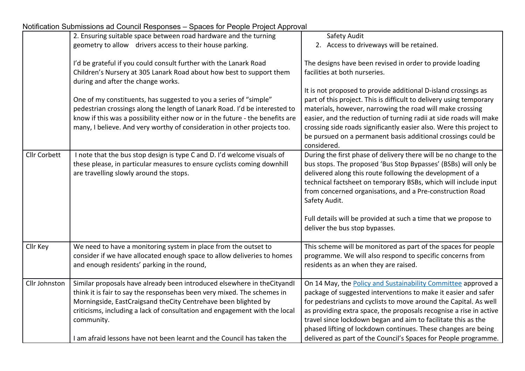|                     | 2. Ensuring suitable space between road hardware and the turning              | Safety Audit                                                        |
|---------------------|-------------------------------------------------------------------------------|---------------------------------------------------------------------|
|                     | geometry to allow drivers access to their house parking.                      | 2. Access to driveways will be retained.                            |
|                     |                                                                               |                                                                     |
|                     | I'd be grateful if you could consult further with the Lanark Road             | The designs have been revised in order to provide loading           |
|                     | Children's Nursery at 305 Lanark Road about how best to support them          | facilities at both nurseries.                                       |
|                     | during and after the change works.                                            |                                                                     |
|                     |                                                                               | It is not proposed to provide additional D-island crossings as      |
|                     | One of my constituents, has suggested to you a series of "simple"             | part of this project. This is difficult to delivery using temporary |
|                     | pedestrian crossings along the length of Lanark Road. I'd be interested to    | materials, however, narrowing the road will make crossing           |
|                     | know if this was a possibility either now or in the future - the benefits are | easier, and the reduction of turning radii at side roads will make  |
|                     | many, I believe. And very worthy of consideration in other projects too.      | crossing side roads significantly easier also. Were this project to |
|                     |                                                                               | be pursued on a permanent basis additional crossings could be       |
|                     |                                                                               | considered.                                                         |
| <b>Cllr Corbett</b> | I note that the bus stop design is type C and D. I'd welcome visuals of       | During the first phase of delivery there will be no change to the   |
|                     | these please, in particular measures to ensure cyclists coming downhill       | bus stops. The proposed 'Bus Stop Bypasses' (BSBs) will only be     |
|                     | are travelling slowly around the stops.                                       | delivered along this route following the development of a           |
|                     |                                                                               | technical factsheet on temporary BSBs, which will include input     |
|                     |                                                                               | from concerned organisations, and a Pre-construction Road           |
|                     |                                                                               | Safety Audit.                                                       |
|                     |                                                                               |                                                                     |
|                     |                                                                               | Full details will be provided at such a time that we propose to     |
|                     |                                                                               | deliver the bus stop bypasses.                                      |
|                     |                                                                               |                                                                     |
| Cllr Key            | We need to have a monitoring system in place from the outset to               | This scheme will be monitored as part of the spaces for people      |
|                     | consider if we have allocated enough space to allow deliveries to homes       | programme. We will also respond to specific concerns from           |
|                     | and enough residents' parking in the round,                                   | residents as an when they are raised.                               |
|                     |                                                                               |                                                                     |
| Cllr Johnston       | Similar proposals have already been introduced elsewhere in the Cityandl      | On 14 May, the Policy and Sustainability Committee approved a       |
|                     | think it is fair to say the responsehas been very mixed. The schemes in       | package of suggested interventions to make it easier and safer      |
|                     | Morningside, EastCraigsand theCity Centrehave been blighted by                | for pedestrians and cyclists to move around the Capital. As well    |
|                     | criticisms, including a lack of consultation and engagement with the local    | as providing extra space, the proposals recognise a rise in active  |
|                     | community.                                                                    | travel since lockdown began and aim to facilitate this as the       |
|                     |                                                                               | phased lifting of lockdown continues. These changes are being       |
|                     | I am afraid lessons have not been learnt and the Council has taken the        | delivered as part of the Council's Spaces for People programme.     |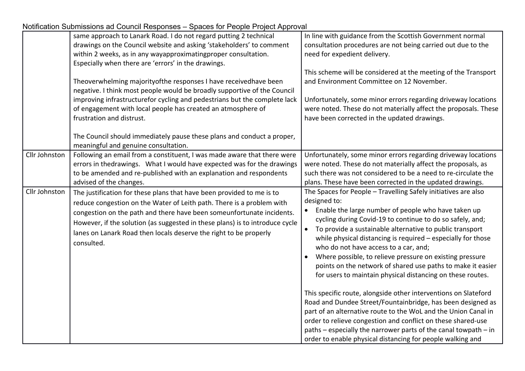|                                | ad Soditon Rooponses Topasse for Poopis Project Represent<br>same approach to Lanark Road. I do not regard putting 2 technical<br>drawings on the Council website and asking 'stakeholders' to comment<br>within 2 weeks, as in any wayapproximatingproper consultation.<br>Especially when there are 'errors' in the drawings.<br>Theoverwhelming majority of the responses I have received have been<br>negative. I think most people would be broadly supportive of the Council<br>improving infrastructurefor cycling and pedestrians but the complete lack<br>of engagement with local people has created an atmosphere of<br>frustration and distrust.<br>The Council should immediately pause these plans and conduct a proper,<br>meaningful and genuine consultation. | In line with guidance from the Scottish Government normal<br>consultation procedures are not being carried out due to the<br>need for expedient delivery.<br>This scheme will be considered at the meeting of the Transport<br>and Environment Committee on 12 November.<br>Unfortunately, some minor errors regarding driveway locations<br>were noted. These do not materially affect the proposals. These<br>have been corrected in the updated drawings.                                                                                                                                                                                                                                                                                                                                                                                                                                                                                                                                                                                                                                                                                                                                                                                       |
|--------------------------------|--------------------------------------------------------------------------------------------------------------------------------------------------------------------------------------------------------------------------------------------------------------------------------------------------------------------------------------------------------------------------------------------------------------------------------------------------------------------------------------------------------------------------------------------------------------------------------------------------------------------------------------------------------------------------------------------------------------------------------------------------------------------------------|----------------------------------------------------------------------------------------------------------------------------------------------------------------------------------------------------------------------------------------------------------------------------------------------------------------------------------------------------------------------------------------------------------------------------------------------------------------------------------------------------------------------------------------------------------------------------------------------------------------------------------------------------------------------------------------------------------------------------------------------------------------------------------------------------------------------------------------------------------------------------------------------------------------------------------------------------------------------------------------------------------------------------------------------------------------------------------------------------------------------------------------------------------------------------------------------------------------------------------------------------|
| Cllr Johnston<br>Cllr Johnston | Following an email from a constituent, I was made aware that there were<br>errors in thedrawings. What I would have expected was for the drawings<br>to be amended and re-published with an explanation and respondents<br>advised of the changes.<br>The justification for these plans that have been provided to me is to<br>reduce congestion on the Water of Leith path. There is a problem with<br>congestion on the path and there have been someunfortunate incidents.<br>However, if the solution (as suggested in these plans) is to introduce cycle<br>lanes on Lanark Road then locals deserve the right to be properly<br>consulted.                                                                                                                               | Unfortunately, some minor errors regarding driveway locations<br>were noted. These do not materially affect the proposals, as<br>such there was not considered to be a need to re-circulate the<br>plans. These have been corrected in the updated drawings.<br>The Spaces for People - Travelling Safely initiatives are also<br>designed to:<br>Enable the large number of people who have taken up<br>cycling during Covid-19 to continue to do so safely, and;<br>To provide a sustainable alternative to public transport<br>$\bullet$<br>while physical distancing is required - especially for those<br>who do not have access to a car, and;<br>Where possible, to relieve pressure on existing pressure<br>points on the network of shared use paths to make it easier<br>for users to maintain physical distancing on these routes.<br>This specific route, alongside other interventions on Slateford<br>Road and Dundee Street/Fountainbridge, has been designed as<br>part of an alternative route to the WoL and the Union Canal in<br>order to relieve congestion and conflict on these shared-use<br>paths - especially the narrower parts of the canal towpath - in<br>order to enable physical distancing for people walking and |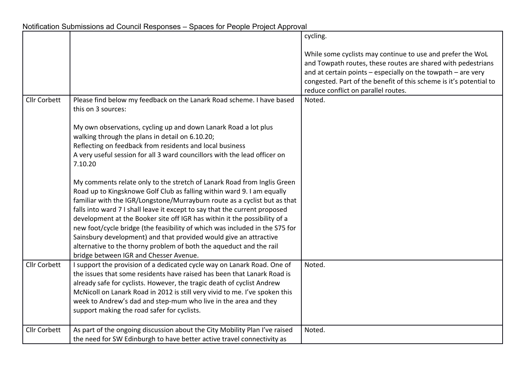|                     |                                                                                                                                                                                                                                                                                                                                                                                                                                                                                                                                                                                                                                                                | cycling.                                                                                                                                                                                                                                                                                                              |
|---------------------|----------------------------------------------------------------------------------------------------------------------------------------------------------------------------------------------------------------------------------------------------------------------------------------------------------------------------------------------------------------------------------------------------------------------------------------------------------------------------------------------------------------------------------------------------------------------------------------------------------------------------------------------------------------|-----------------------------------------------------------------------------------------------------------------------------------------------------------------------------------------------------------------------------------------------------------------------------------------------------------------------|
| <b>Cllr Corbett</b> | Please find below my feedback on the Lanark Road scheme. I have based                                                                                                                                                                                                                                                                                                                                                                                                                                                                                                                                                                                          | While some cyclists may continue to use and prefer the WoL<br>and Towpath routes, these routes are shared with pedestrians<br>and at certain points $-$ especially on the towpath $-$ are very<br>congested. Part of the benefit of this scheme is it's potential to<br>reduce conflict on parallel routes.<br>Noted. |
|                     | this on 3 sources:                                                                                                                                                                                                                                                                                                                                                                                                                                                                                                                                                                                                                                             |                                                                                                                                                                                                                                                                                                                       |
|                     | My own observations, cycling up and down Lanark Road a lot plus<br>walking through the plans in detail on 6.10.20;<br>Reflecting on feedback from residents and local business<br>A very useful session for all 3 ward councillors with the lead officer on<br>7.10.20                                                                                                                                                                                                                                                                                                                                                                                         |                                                                                                                                                                                                                                                                                                                       |
|                     | My comments relate only to the stretch of Lanark Road from Inglis Green<br>Road up to Kingsknowe Golf Club as falling within ward 9. I am equally<br>familiar with the IGR/Longstone/Murrayburn route as a cyclist but as that<br>falls into ward 7 I shall leave it except to say that the current proposed<br>development at the Booker site off IGR has within it the possibility of a<br>new foot/cycle bridge (the feasibility of which was included in the S75 for<br>Sainsbury development) and that provided would give an attractive<br>alternative to the thorny problem of both the aqueduct and the rail<br>bridge between IGR and Chesser Avenue. |                                                                                                                                                                                                                                                                                                                       |
| <b>Cllr Corbett</b> | I support the provision of a dedicated cycle way on Lanark Road. One of<br>the issues that some residents have raised has been that Lanark Road is<br>already safe for cyclists. However, the tragic death of cyclist Andrew<br>McNicoll on Lanark Road in 2012 is still very vivid to me. I've spoken this<br>week to Andrew's dad and step-mum who live in the area and they<br>support making the road safer for cyclists.                                                                                                                                                                                                                                  | Noted.                                                                                                                                                                                                                                                                                                                |
| <b>Cllr Corbett</b> | As part of the ongoing discussion about the City Mobility Plan I've raised<br>the need for SW Edinburgh to have better active travel connectivity as                                                                                                                                                                                                                                                                                                                                                                                                                                                                                                           | Noted.                                                                                                                                                                                                                                                                                                                |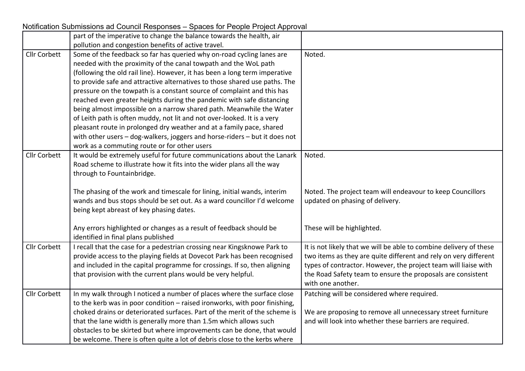|                     | <u>vullication oublissions au Couriul Responses – Opaces for Feople Froject Approval</u>                                                 |                                                                    |
|---------------------|------------------------------------------------------------------------------------------------------------------------------------------|--------------------------------------------------------------------|
|                     | part of the imperative to change the balance towards the health, air                                                                     |                                                                    |
|                     | pollution and congestion benefits of active travel.                                                                                      |                                                                    |
| <b>Cllr Corbett</b> | Some of the feedback so far has queried why on-road cycling lanes are<br>needed with the proximity of the canal towpath and the WoL path | Noted.                                                             |
|                     | (following the old rail line). However, it has been a long term imperative                                                               |                                                                    |
|                     |                                                                                                                                          |                                                                    |
|                     | to provide safe and attractive alternatives to those shared use paths. The                                                               |                                                                    |
|                     | pressure on the towpath is a constant source of complaint and this has                                                                   |                                                                    |
|                     | reached even greater heights during the pandemic with safe distancing                                                                    |                                                                    |
|                     | being almost impossible on a narrow shared path. Meanwhile the Water                                                                     |                                                                    |
|                     | of Leith path is often muddy, not lit and not over-looked. It is a very                                                                  |                                                                    |
|                     | pleasant route in prolonged dry weather and at a family pace, shared                                                                     |                                                                    |
|                     | with other users - dog-walkers, joggers and horse-riders - but it does not                                                               |                                                                    |
|                     | work as a commuting route or for other users                                                                                             |                                                                    |
| <b>Cllr Corbett</b> | It would be extremely useful for future communications about the Lanark                                                                  | Noted.                                                             |
|                     | Road scheme to illustrate how it fits into the wider plans all the way                                                                   |                                                                    |
|                     | through to Fountainbridge.                                                                                                               |                                                                    |
|                     | The phasing of the work and timescale for lining, initial wands, interim                                                                 | Noted. The project team will endeavour to keep Councillors         |
|                     | wands and bus stops should be set out. As a ward councillor I'd welcome                                                                  | updated on phasing of delivery.                                    |
|                     | being kept abreast of key phasing dates.                                                                                                 |                                                                    |
|                     |                                                                                                                                          |                                                                    |
|                     | Any errors highlighted or changes as a result of feedback should be                                                                      | These will be highlighted.                                         |
|                     | identified in final plans published                                                                                                      |                                                                    |
| <b>Cllr Corbett</b> | I recall that the case for a pedestrian crossing near Kingsknowe Park to                                                                 | It is not likely that we will be able to combine delivery of these |
|                     | provide access to the playing fields at Dovecot Park has been recognised                                                                 | two items as they are quite different and rely on very different   |
|                     | and included in the capital programme for crossings. If so, then aligning                                                                | types of contractor. However, the project team will liaise with    |
|                     | that provision with the current plans would be very helpful.                                                                             | the Road Safety team to ensure the proposals are consistent        |
|                     |                                                                                                                                          | with one another.                                                  |
| Cllr Corbett        | In my walk through I noticed a number of places where the surface close                                                                  | Patching will be considered where required.                        |
|                     | to the kerb was in poor condition - raised ironworks, with poor finishing,                                                               |                                                                    |
|                     | choked drains or deteriorated surfaces. Part of the merit of the scheme is                                                               | We are proposing to remove all unnecessary street furniture        |
|                     | that the lane width is generally more than 1.5m which allows such                                                                        | and will look into whether these barriers are required.            |
|                     | obstacles to be skirted but where improvements can be done, that would                                                                   |                                                                    |
|                     | be welcome. There is often quite a lot of debris close to the kerbs where                                                                |                                                                    |

Notification Submissions ad Council Responses – Spaces for People Project Approval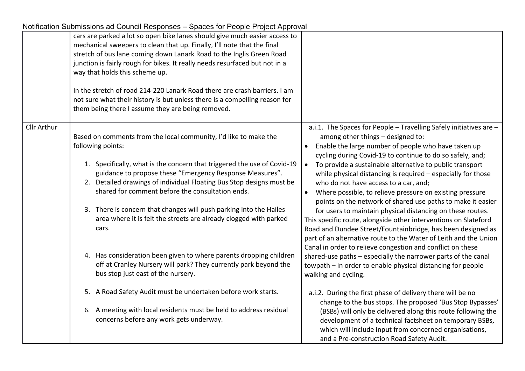|                    | compandi capimodicile da coarion reopondos - opacos for r copio r repost reprovar                                                                                                                                                                                                                                                                                                                                                                                                                                                                              |                                                                                                                                                                                                                                                                                                                                                                                                                                                                                                                                                                                                                                                                                                                                                                    |
|--------------------|----------------------------------------------------------------------------------------------------------------------------------------------------------------------------------------------------------------------------------------------------------------------------------------------------------------------------------------------------------------------------------------------------------------------------------------------------------------------------------------------------------------------------------------------------------------|--------------------------------------------------------------------------------------------------------------------------------------------------------------------------------------------------------------------------------------------------------------------------------------------------------------------------------------------------------------------------------------------------------------------------------------------------------------------------------------------------------------------------------------------------------------------------------------------------------------------------------------------------------------------------------------------------------------------------------------------------------------------|
|                    | cars are parked a lot so open bike lanes should give much easier access to<br>mechanical sweepers to clean that up. Finally, I'll note that the final<br>stretch of bus lane coming down Lanark Road to the Inglis Green Road<br>junction is fairly rough for bikes. It really needs resurfaced but not in a<br>way that holds this scheme up.<br>In the stretch of road 214-220 Lanark Road there are crash barriers. I am<br>not sure what their history is but unless there is a compelling reason for<br>them being there I assume they are being removed. |                                                                                                                                                                                                                                                                                                                                                                                                                                                                                                                                                                                                                                                                                                                                                                    |
| <b>Cllr Arthur</b> | Based on comments from the local community, I'd like to make the<br>following points:<br>1. Specifically, what is the concern that triggered the use of Covid-19<br>guidance to propose these "Emergency Response Measures".<br>2. Detailed drawings of individual Floating Bus Stop designs must be<br>shared for comment before the consultation ends.<br>3. There is concern that changes will push parking into the Hailes<br>area where it is felt the streets are already clogged with parked<br>cars.                                                   | a.i.1. The Spaces for People - Travelling Safely initiatives are -<br>among other things - designed to:<br>Enable the large number of people who have taken up<br>$\bullet$<br>cycling during Covid-19 to continue to do so safely, and;<br>To provide a sustainable alternative to public transport<br>$\bullet$<br>while physical distancing is required - especially for those<br>who do not have access to a car, and;<br>Where possible, to relieve pressure on existing pressure<br>$\bullet$<br>points on the network of shared use paths to make it easier<br>for users to maintain physical distancing on these routes.<br>This specific route, alongside other interventions on Slateford<br>Road and Dundee Street/Fountainbridge, has been designed as |
|                    | 4. Has consideration been given to where parents dropping children<br>off at Cranley Nursery will park? They currently park beyond the<br>bus stop just east of the nursery.                                                                                                                                                                                                                                                                                                                                                                                   | part of an alternative route to the Water of Leith and the Union<br>Canal in order to relieve congestion and conflict on these<br>shared-use paths - especially the narrower parts of the canal<br>towpath – in order to enable physical distancing for people<br>walking and cycling.                                                                                                                                                                                                                                                                                                                                                                                                                                                                             |
|                    | 5. A Road Safety Audit must be undertaken before work starts.                                                                                                                                                                                                                                                                                                                                                                                                                                                                                                  | a.i.2. During the first phase of delivery there will be no<br>change to the bus stops. The proposed 'Bus Stop Bypasses'                                                                                                                                                                                                                                                                                                                                                                                                                                                                                                                                                                                                                                            |
|                    | 6. A meeting with local residents must be held to address residual<br>concerns before any work gets underway.                                                                                                                                                                                                                                                                                                                                                                                                                                                  | (BSBs) will only be delivered along this route following the<br>development of a technical factsheet on temporary BSBs,<br>which will include input from concerned organisations,<br>and a Pre-construction Road Safety Audit.                                                                                                                                                                                                                                                                                                                                                                                                                                                                                                                                     |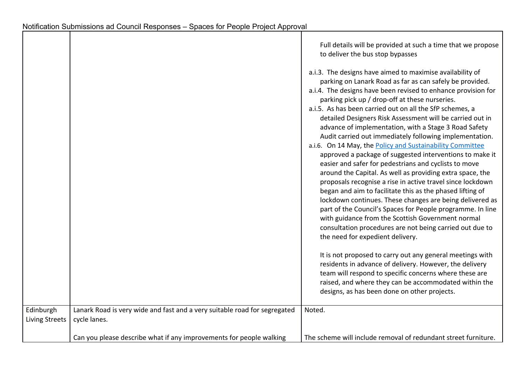|                                    |                                                                                           | Full details will be provided at such a time that we propose<br>to deliver the bus stop bypasses                                                                                                                                                                                                                                                                                                                                                                                                                                                                                                                                                                                                                                                                                                                                                                                                                                                                                                                                                                                                                                               |
|------------------------------------|-------------------------------------------------------------------------------------------|------------------------------------------------------------------------------------------------------------------------------------------------------------------------------------------------------------------------------------------------------------------------------------------------------------------------------------------------------------------------------------------------------------------------------------------------------------------------------------------------------------------------------------------------------------------------------------------------------------------------------------------------------------------------------------------------------------------------------------------------------------------------------------------------------------------------------------------------------------------------------------------------------------------------------------------------------------------------------------------------------------------------------------------------------------------------------------------------------------------------------------------------|
|                                    |                                                                                           | a.i.3. The designs have aimed to maximise availability of<br>parking on Lanark Road as far as can safely be provided.<br>a.i.4. The designs have been revised to enhance provision for<br>parking pick up / drop-off at these nurseries.<br>a.i.5. As has been carried out on all the SfP schemes, a<br>detailed Designers Risk Assessment will be carried out in<br>advance of implementation, with a Stage 3 Road Safety<br>Audit carried out immediately following implementation.<br>a.i.6. On 14 May, the Policy and Sustainability Committee<br>approved a package of suggested interventions to make it<br>easier and safer for pedestrians and cyclists to move<br>around the Capital. As well as providing extra space, the<br>proposals recognise a rise in active travel since lockdown<br>began and aim to facilitate this as the phased lifting of<br>lockdown continues. These changes are being delivered as<br>part of the Council's Spaces for People programme. In line<br>with guidance from the Scottish Government normal<br>consultation procedures are not being carried out due to<br>the need for expedient delivery. |
|                                    |                                                                                           | It is not proposed to carry out any general meetings with<br>residents in advance of delivery. However, the delivery<br>team will respond to specific concerns where these are<br>raised, and where they can be accommodated within the<br>designs, as has been done on other projects.                                                                                                                                                                                                                                                                                                                                                                                                                                                                                                                                                                                                                                                                                                                                                                                                                                                        |
| Edinburgh<br><b>Living Streets</b> | Lanark Road is very wide and fast and a very suitable road for segregated<br>cycle lanes. | Noted.                                                                                                                                                                                                                                                                                                                                                                                                                                                                                                                                                                                                                                                                                                                                                                                                                                                                                                                                                                                                                                                                                                                                         |
|                                    | Can you please describe what if any improvements for people walking                       | The scheme will include removal of redundant street furniture.                                                                                                                                                                                                                                                                                                                                                                                                                                                                                                                                                                                                                                                                                                                                                                                                                                                                                                                                                                                                                                                                                 |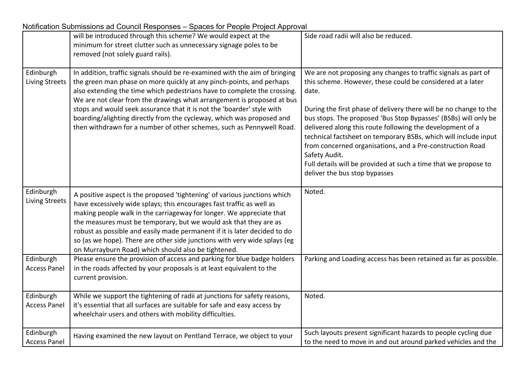| Notification Submissions ad Council Responses - Spaces for People Project Approval |
|------------------------------------------------------------------------------------|
|------------------------------------------------------------------------------------|

|                                    | will be introduced through this scheme? We would expect at the<br>minimum for street clutter such as unnecessary signage poles to be<br>removed (not solely guard rails).                                                                                                                                                                                                                                                                                                                                                             | Side road radii will also be reduced.                                                                                                                                                                                                                                                                                                                                                                                                                                                                                                                                                           |
|------------------------------------|---------------------------------------------------------------------------------------------------------------------------------------------------------------------------------------------------------------------------------------------------------------------------------------------------------------------------------------------------------------------------------------------------------------------------------------------------------------------------------------------------------------------------------------|-------------------------------------------------------------------------------------------------------------------------------------------------------------------------------------------------------------------------------------------------------------------------------------------------------------------------------------------------------------------------------------------------------------------------------------------------------------------------------------------------------------------------------------------------------------------------------------------------|
| Edinburgh<br><b>Living Streets</b> | In addition, traffic signals should be re-examined with the aim of bringing<br>the green man phase on more quickly at any pinch-points, and perhaps<br>also extending the time which pedestrians have to complete the crossing.<br>We are not clear from the drawings what arrangement is proposed at bus<br>stops and would seek assurance that it is not the 'boarder' style with<br>boarding/alighting directly from the cycleway, which was proposed and<br>then withdrawn for a number of other schemes, such as Pennywell Road. | We are not proposing any changes to traffic signals as part of<br>this scheme. However, these could be considered at a later<br>date.<br>During the first phase of delivery there will be no change to the<br>bus stops. The proposed 'Bus Stop Bypasses' (BSBs) will only be<br>delivered along this route following the development of a<br>technical factsheet on temporary BSBs, which will include input<br>from concerned organisations, and a Pre-construction Road<br>Safety Audit.<br>Full details will be provided at such a time that we propose to<br>deliver the bus stop bypasses |
| Edinburgh<br><b>Living Streets</b> | A positive aspect is the proposed 'tightening' of various junctions which<br>have excessively wide splays; this encourages fast traffic as well as<br>making people walk in the carriageway for longer. We appreciate that<br>the measures must be temporary, but we would ask that they are as<br>robust as possible and easily made permanent if it is later decided to do<br>so (as we hope). There are other side junctions with very wide splays (eg<br>on Murrayburn Road) which should also be tightened.                      | Noted.                                                                                                                                                                                                                                                                                                                                                                                                                                                                                                                                                                                          |
| Edinburgh<br><b>Access Panel</b>   | Please ensure the provision of access and parking for blue badge holders<br>in the roads affected by your proposals is at least equivalent to the<br>current provision.                                                                                                                                                                                                                                                                                                                                                               | Parking and Loading access has been retained as far as possible.                                                                                                                                                                                                                                                                                                                                                                                                                                                                                                                                |
| Edinburgh<br><b>Access Panel</b>   | While we support the tightening of radii at junctions for safety reasons,<br>it's essential that all surfaces are suitable for safe and easy access by<br>wheelchair users and others with mobility difficulties.                                                                                                                                                                                                                                                                                                                     | Noted.                                                                                                                                                                                                                                                                                                                                                                                                                                                                                                                                                                                          |
| Edinburgh<br><b>Access Panel</b>   | Having examined the new layout on Pentland Terrace, we object to your                                                                                                                                                                                                                                                                                                                                                                                                                                                                 | Such layouts present significant hazards to people cycling due<br>to the need to move in and out around parked vehicles and the                                                                                                                                                                                                                                                                                                                                                                                                                                                                 |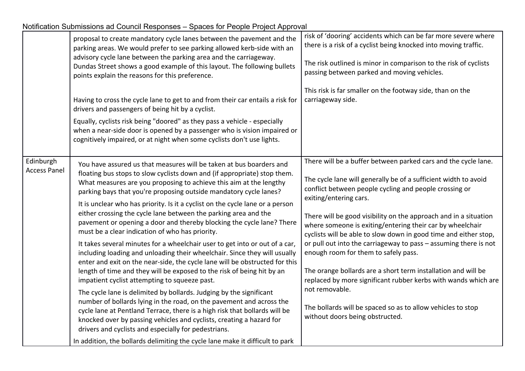|  | Notification Submissions ad Council Responses - Spaces for People Project Approval |
|--|------------------------------------------------------------------------------------|

|                                  | proposal to create mandatory cycle lanes between the pavement and the<br>parking areas. We would prefer to see parking allowed kerb-side with an<br>advisory cycle lane between the parking area and the carriageway.<br>Dundas Street shows a good example of this layout. The following bullets<br>points explain the reasons for this preference.                                                                                                                                                                                                                                                                                                                                                                                                                                                                                                                                                                                                                                                                                                                                                                                                                                                                                                                                                                                                                                           | risk of 'dooring' accidents which can be far more severe where<br>there is a risk of a cyclist being knocked into moving traffic.<br>The risk outlined is minor in comparison to the risk of cyclists<br>passing between parked and moving vehicles.                                                                                                                                                                                                                                                                                                                                                                                                                                                                                                                                          |
|----------------------------------|------------------------------------------------------------------------------------------------------------------------------------------------------------------------------------------------------------------------------------------------------------------------------------------------------------------------------------------------------------------------------------------------------------------------------------------------------------------------------------------------------------------------------------------------------------------------------------------------------------------------------------------------------------------------------------------------------------------------------------------------------------------------------------------------------------------------------------------------------------------------------------------------------------------------------------------------------------------------------------------------------------------------------------------------------------------------------------------------------------------------------------------------------------------------------------------------------------------------------------------------------------------------------------------------------------------------------------------------------------------------------------------------|-----------------------------------------------------------------------------------------------------------------------------------------------------------------------------------------------------------------------------------------------------------------------------------------------------------------------------------------------------------------------------------------------------------------------------------------------------------------------------------------------------------------------------------------------------------------------------------------------------------------------------------------------------------------------------------------------------------------------------------------------------------------------------------------------|
|                                  | Having to cross the cycle lane to get to and from their car entails a risk for<br>drivers and passengers of being hit by a cyclist.<br>Equally, cyclists risk being "doored" as they pass a vehicle - especially<br>when a near-side door is opened by a passenger who is vision impaired or<br>cognitively impaired, or at night when some cyclists don't use lights.                                                                                                                                                                                                                                                                                                                                                                                                                                                                                                                                                                                                                                                                                                                                                                                                                                                                                                                                                                                                                         | This risk is far smaller on the footway side, than on the<br>carriageway side.                                                                                                                                                                                                                                                                                                                                                                                                                                                                                                                                                                                                                                                                                                                |
| Edinburgh<br><b>Access Panel</b> | You have assured us that measures will be taken at bus boarders and<br>floating bus stops to slow cyclists down and (if appropriate) stop them.<br>What measures are you proposing to achieve this aim at the lengthy<br>parking bays that you're proposing outside mandatory cycle lanes?<br>It is unclear who has priority. Is it a cyclist on the cycle lane or a person<br>either crossing the cycle lane between the parking area and the<br>pavement or opening a door and thereby blocking the cycle lane? There<br>must be a clear indication of who has priority.<br>It takes several minutes for a wheelchair user to get into or out of a car,<br>including loading and unloading their wheelchair. Since they will usually<br>enter and exit on the near-side, the cycle lane will be obstructed for this<br>length of time and they will be exposed to the risk of being hit by an<br>impatient cyclist attempting to squeeze past.<br>The cycle lane is delimited by bollards. Judging by the significant<br>number of bollards lying in the road, on the pavement and across the<br>cycle lane at Pentland Terrace, there is a high risk that bollards will be<br>knocked over by passing vehicles and cyclists, creating a hazard for<br>drivers and cyclists and especially for pedestrians.<br>In addition, the bollards delimiting the cycle lane make it difficult to park | There will be a buffer between parked cars and the cycle lane.<br>The cycle lane will generally be of a sufficient width to avoid<br>conflict between people cycling and people crossing or<br>exiting/entering cars.<br>There will be good visibility on the approach and in a situation<br>where someone is exiting/entering their car by wheelchair<br>cyclists will be able to slow down in good time and either stop,<br>or pull out into the carriageway to pass - assuming there is not<br>enough room for them to safely pass.<br>The orange bollards are a short term installation and will be<br>replaced by more significant rubber kerbs with wands which are<br>not removable.<br>The bollards will be spaced so as to allow vehicles to stop<br>without doors being obstructed. |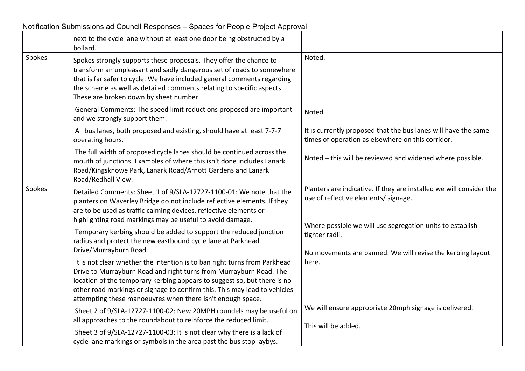|        | next to the cycle lane without at least one door being obstructed by a<br>bollard.                                                                                                                                                                                                                                                        |                                                                                                                     |
|--------|-------------------------------------------------------------------------------------------------------------------------------------------------------------------------------------------------------------------------------------------------------------------------------------------------------------------------------------------|---------------------------------------------------------------------------------------------------------------------|
| Spokes | Spokes strongly supports these proposals. They offer the chance to<br>transform an unpleasant and sadly dangerous set of roads to somewhere<br>that is far safer to cycle. We have included general comments regarding<br>the scheme as well as detailed comments relating to specific aspects.<br>These are broken down by sheet number. | Noted.                                                                                                              |
|        | General Comments: The speed limit reductions proposed are important<br>and we strongly support them.                                                                                                                                                                                                                                      | Noted.                                                                                                              |
|        | All bus lanes, both proposed and existing, should have at least 7-7-7<br>operating hours.                                                                                                                                                                                                                                                 | It is currently proposed that the bus lanes will have the same<br>times of operation as elsewhere on this corridor. |
|        | The full width of proposed cycle lanes should be continued across the<br>mouth of junctions. Examples of where this isn't done includes Lanark<br>Road/Kingsknowe Park, Lanark Road/Arnott Gardens and Lanark<br>Road/Redhall View.                                                                                                       | Noted - this will be reviewed and widened where possible.                                                           |
| Spokes | Detailed Comments: Sheet 1 of 9/SLA-12727-1100-01: We note that the<br>planters on Waverley Bridge do not include reflective elements. If they<br>are to be used as traffic calming devices, reflective elements or<br>highlighting road markings may be useful to avoid damage.                                                          | Planters are indicative. If they are installed we will consider the<br>use of reflective elements/ signage.         |
|        | Temporary kerbing should be added to support the reduced junction<br>radius and protect the new eastbound cycle lane at Parkhead                                                                                                                                                                                                          | Where possible we will use segregation units to establish<br>tighter radii.                                         |
|        | Drive/Murrayburn Road.                                                                                                                                                                                                                                                                                                                    | No movements are banned. We will revise the kerbing layout                                                          |
|        | It is not clear whether the intention is to ban right turns from Parkhead<br>Drive to Murrayburn Road and right turns from Murrayburn Road. The<br>location of the temporary kerbing appears to suggest so, but there is no<br>other road markings or signage to confirm this. This may lead to vehicles                                  | here.                                                                                                               |
|        | attempting these manoeuvres when there isn't enough space.                                                                                                                                                                                                                                                                                | We will ensure appropriate 20mph signage is delivered.                                                              |
|        | Sheet 2 of 9/SLA-12727-1100-02: New 20MPH roundels may be useful on<br>all approaches to the roundabout to reinforce the reduced limit.                                                                                                                                                                                                   |                                                                                                                     |
|        | Sheet 3 of 9/SLA-12727-1100-03: It is not clear why there is a lack of                                                                                                                                                                                                                                                                    | This will be added.                                                                                                 |
|        | cycle lane markings or symbols in the area past the bus stop laybys.                                                                                                                                                                                                                                                                      |                                                                                                                     |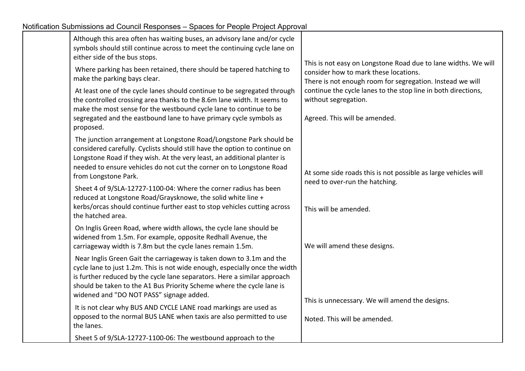| Although this area often has waiting buses, an advisory lane and/or cycle<br>symbols should still continue across to meet the continuing cycle lane on<br>either side of the bus stops.                                                                                                                                                              |                                                                                                                                                                      |
|------------------------------------------------------------------------------------------------------------------------------------------------------------------------------------------------------------------------------------------------------------------------------------------------------------------------------------------------------|----------------------------------------------------------------------------------------------------------------------------------------------------------------------|
| Where parking has been retained, there should be tapered hatching to<br>make the parking bays clear.                                                                                                                                                                                                                                                 | This is not easy on Longstone Road due to lane widths. We will<br>consider how to mark these locations.<br>There is not enough room for segregation. Instead we will |
| At least one of the cycle lanes should continue to be segregated through<br>the controlled crossing area thanks to the 8.6m lane width. It seems to<br>make the most sense for the westbound cycle lane to continue to be<br>segregated and the eastbound lane to have primary cycle symbols as<br>proposed.                                         | continue the cycle lanes to the stop line in both directions,<br>without segregation.<br>Agreed. This will be amended.                                               |
| The junction arrangement at Longstone Road/Longstone Park should be<br>considered carefully. Cyclists should still have the option to continue on<br>Longstone Road if they wish. At the very least, an additional planter is<br>needed to ensure vehicles do not cut the corner on to Longstone Road<br>from Longstone Park.                        | At some side roads this is not possible as large vehicles will<br>need to over-run the hatching.                                                                     |
| Sheet 4 of 9/SLA-12727-1100-04: Where the corner radius has been<br>reduced at Longstone Road/Graysknowe, the solid white line +<br>kerbs/orcas should continue further east to stop vehicles cutting across<br>the hatched area.                                                                                                                    | This will be amended.                                                                                                                                                |
| On Inglis Green Road, where width allows, the cycle lane should be<br>widened from 1.5m. For example, opposite Redhall Avenue, the<br>carriageway width is 7.8m but the cycle lanes remain 1.5m.                                                                                                                                                     | We will amend these designs.                                                                                                                                         |
| Near Inglis Green Gait the carriageway is taken down to 3.1m and the<br>cycle lane to just 1.2m. This is not wide enough, especially once the width<br>is further reduced by the cycle lane separators. Here a similar approach<br>should be taken to the A1 Bus Priority Scheme where the cycle lane is<br>widened and "DO NOT PASS" signage added. |                                                                                                                                                                      |
| It is not clear why BUS AND CYCLE LANE road markings are used as<br>opposed to the normal BUS LANE when taxis are also permitted to use<br>the lanes.                                                                                                                                                                                                | This is unnecessary. We will amend the designs.<br>Noted. This will be amended.                                                                                      |
| Sheet 5 of 9/SLA-12727-1100-06: The westbound approach to the                                                                                                                                                                                                                                                                                        |                                                                                                                                                                      |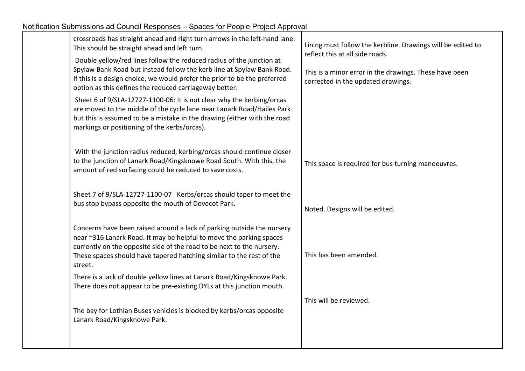| crossroads has straight ahead and right turn arrows in the left-hand lane.<br>This should be straight ahead and left turn.                                                                                                                                                                                | Lining must follow the kerbline. Drawings will be edited to<br>reflect this at all side roads. |
|-----------------------------------------------------------------------------------------------------------------------------------------------------------------------------------------------------------------------------------------------------------------------------------------------------------|------------------------------------------------------------------------------------------------|
| Double yellow/red lines follow the reduced radius of the junction at<br>Spylaw Bank Road but instead follow the kerb line at Spylaw Bank Road.<br>If this is a design choice, we would prefer the prior to be the preferred<br>option as this defines the reduced carriageway better.                     | This is a minor error in the drawings. These have been<br>corrected in the updated drawings.   |
| Sheet 6 of 9/SLA-12727-1100-06: It is not clear why the kerbing/orcas<br>are moved to the middle of the cycle lane near Lanark Road/Hailes Park<br>but this is assumed to be a mistake in the drawing (either with the road<br>markings or positioning of the kerbs/orcas).                               |                                                                                                |
| With the junction radius reduced, kerbing/orcas should continue closer<br>to the junction of Lanark Road/Kingsknowe Road South. With this, the<br>amount of red surfacing could be reduced to save costs.                                                                                                 | This space is required for bus turning manoeuvres.                                             |
| Sheet 7 of 9/SLA-12727-1100-07 Kerbs/orcas should taper to meet the<br>bus stop bypass opposite the mouth of Dovecot Park.                                                                                                                                                                                | Noted. Designs will be edited.                                                                 |
| Concerns have been raised around a lack of parking outside the nursery<br>near ~316 Lanark Road. It may be helpful to move the parking spaces<br>currently on the opposite side of the road to be next to the nursery.<br>These spaces should have tapered hatching similar to the rest of the<br>street. | This has been amended.                                                                         |
| There is a lack of double yellow lines at Lanark Road/Kingsknowe Park.<br>There does not appear to be pre-existing DYLs at this junction mouth.                                                                                                                                                           |                                                                                                |
| The bay for Lothian Buses vehicles is blocked by kerbs/orcas opposite<br>Lanark Road/Kingsknowe Park.                                                                                                                                                                                                     | This will be reviewed.                                                                         |
|                                                                                                                                                                                                                                                                                                           |                                                                                                |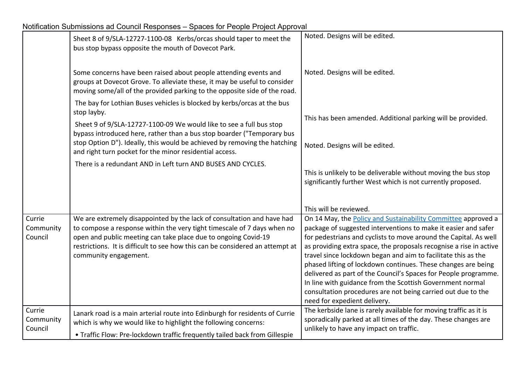|                                | Sheet 8 of 9/SLA-12727-1100-08 Kerbs/orcas should taper to meet the<br>bus stop bypass opposite the mouth of Dovecot Park.                                                                                                                                                                                                    | Noted. Designs will be edited.                                                                                                                                                                                                                                                                                                                                                                                                                                                                                                                                                                                                                     |
|--------------------------------|-------------------------------------------------------------------------------------------------------------------------------------------------------------------------------------------------------------------------------------------------------------------------------------------------------------------------------|----------------------------------------------------------------------------------------------------------------------------------------------------------------------------------------------------------------------------------------------------------------------------------------------------------------------------------------------------------------------------------------------------------------------------------------------------------------------------------------------------------------------------------------------------------------------------------------------------------------------------------------------------|
|                                | Some concerns have been raised about people attending events and<br>groups at Dovecot Grove. To alleviate these, it may be useful to consider<br>moving some/all of the provided parking to the opposite side of the road.                                                                                                    | Noted. Designs will be edited.                                                                                                                                                                                                                                                                                                                                                                                                                                                                                                                                                                                                                     |
|                                | The bay for Lothian Buses vehicles is blocked by kerbs/orcas at the bus<br>stop layby.                                                                                                                                                                                                                                        |                                                                                                                                                                                                                                                                                                                                                                                                                                                                                                                                                                                                                                                    |
|                                | Sheet 9 of 9/SLA-12727-1100-09 We would like to see a full bus stop<br>bypass introduced here, rather than a bus stop boarder ("Temporary bus                                                                                                                                                                                 | This has been amended. Additional parking will be provided.                                                                                                                                                                                                                                                                                                                                                                                                                                                                                                                                                                                        |
|                                | stop Option D"). Ideally, this would be achieved by removing the hatching<br>and right turn pocket for the minor residential access.                                                                                                                                                                                          | Noted. Designs will be edited.                                                                                                                                                                                                                                                                                                                                                                                                                                                                                                                                                                                                                     |
|                                | There is a redundant AND in Left turn AND BUSES AND CYCLES.                                                                                                                                                                                                                                                                   | This is unlikely to be deliverable without moving the bus stop<br>significantly further West which is not currently proposed.                                                                                                                                                                                                                                                                                                                                                                                                                                                                                                                      |
|                                |                                                                                                                                                                                                                                                                                                                               | This will be reviewed.                                                                                                                                                                                                                                                                                                                                                                                                                                                                                                                                                                                                                             |
| Currie<br>Community<br>Council | We are extremely disappointed by the lack of consultation and have had<br>to compose a response within the very tight timescale of 7 days when no<br>open and public meeting can take place due to ongoing Covid-19<br>restrictions. It is difficult to see how this can be considered an attempt at<br>community engagement. | On 14 May, the <b>Policy and Sustainability Committee approved a</b><br>package of suggested interventions to make it easier and safer<br>for pedestrians and cyclists to move around the Capital. As well<br>as providing extra space, the proposals recognise a rise in active<br>travel since lockdown began and aim to facilitate this as the<br>phased lifting of lockdown continues. These changes are being<br>delivered as part of the Council's Spaces for People programme.<br>In line with guidance from the Scottish Government normal<br>consultation procedures are not being carried out due to the<br>need for expedient delivery. |
| Currie<br>Community<br>Council | Lanark road is a main arterial route into Edinburgh for residents of Currie<br>which is why we would like to highlight the following concerns:<br>• Traffic Flow: Pre-lockdown traffic frequently tailed back from Gillespie                                                                                                  | The kerbside lane is rarely available for moving traffic as it is<br>sporadically parked at all times of the day. These changes are<br>unlikely to have any impact on traffic.                                                                                                                                                                                                                                                                                                                                                                                                                                                                     |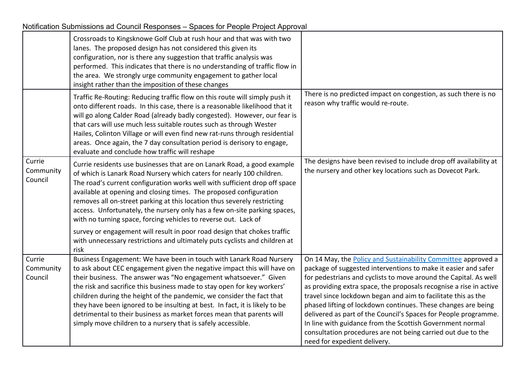|                                | Crossroads to Kingsknowe Golf Club at rush hour and that was with two<br>lanes. The proposed design has not considered this given its<br>configuration, nor is there any suggestion that traffic analysis was<br>performed. This indicates that there is no understanding of traffic flow in<br>the area. We strongly urge community engagement to gather local<br>insight rather than the imposition of these changes                                                                                                                                                                         |                                                                                                                                                                                                                                                                                                                                                                                                                                                                                                                                                                                                                                             |
|--------------------------------|------------------------------------------------------------------------------------------------------------------------------------------------------------------------------------------------------------------------------------------------------------------------------------------------------------------------------------------------------------------------------------------------------------------------------------------------------------------------------------------------------------------------------------------------------------------------------------------------|---------------------------------------------------------------------------------------------------------------------------------------------------------------------------------------------------------------------------------------------------------------------------------------------------------------------------------------------------------------------------------------------------------------------------------------------------------------------------------------------------------------------------------------------------------------------------------------------------------------------------------------------|
|                                | Traffic Re-Routing: Reducing traffic flow on this route will simply push it<br>onto different roads. In this case, there is a reasonable likelihood that it<br>will go along Calder Road (already badly congested). However, our fear is<br>that cars will use much less suitable routes such as through Wester<br>Hailes, Colinton Village or will even find new rat-runs through residential<br>areas. Once again, the 7 day consultation period is derisory to engage,<br>evaluate and conclude how traffic will reshape                                                                    | There is no predicted impact on congestion, as such there is no<br>reason why traffic would re-route.                                                                                                                                                                                                                                                                                                                                                                                                                                                                                                                                       |
| Currie<br>Community<br>Council | Currie residents use businesses that are on Lanark Road, a good example<br>of which is Lanark Road Nursery which caters for nearly 100 children.<br>The road's current configuration works well with sufficient drop off space<br>available at opening and closing times. The proposed configuration<br>removes all on-street parking at this location thus severely restricting<br>access. Unfortunately, the nursery only has a few on-site parking spaces,<br>with no turning space, forcing vehicles to reverse out. Lack of                                                               | The designs have been revised to include drop off availability at<br>the nursery and other key locations such as Dovecot Park.                                                                                                                                                                                                                                                                                                                                                                                                                                                                                                              |
|                                | survey or engagement will result in poor road design that chokes traffic<br>with unnecessary restrictions and ultimately puts cyclists and children at<br>risk                                                                                                                                                                                                                                                                                                                                                                                                                                 |                                                                                                                                                                                                                                                                                                                                                                                                                                                                                                                                                                                                                                             |
| Currie<br>Community<br>Council | Business Engagement: We have been in touch with Lanark Road Nursery<br>to ask about CEC engagement given the negative impact this will have on<br>their business. The answer was "No engagement whatsoever." Given<br>the risk and sacrifice this business made to stay open for key workers'<br>children during the height of the pandemic, we consider the fact that<br>they have been ignored to be insulting at best. In fact, it is likely to be<br>detrimental to their business as market forces mean that parents will<br>simply move children to a nursery that is safely accessible. | On 14 May, the Policy and Sustainability Committee approved a<br>package of suggested interventions to make it easier and safer<br>for pedestrians and cyclists to move around the Capital. As well<br>as providing extra space, the proposals recognise a rise in active<br>travel since lockdown began and aim to facilitate this as the<br>phased lifting of lockdown continues. These changes are being<br>delivered as part of the Council's Spaces for People programme.<br>In line with guidance from the Scottish Government normal<br>consultation procedures are not being carried out due to the<br>need for expedient delivery. |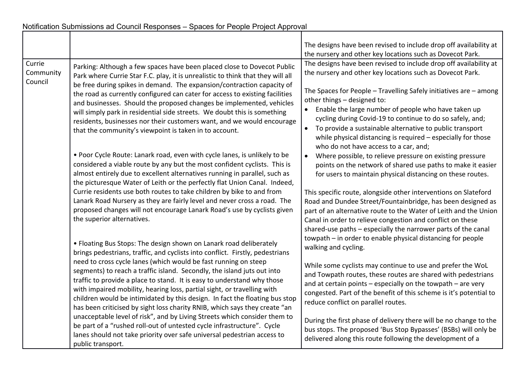|                                                                                                                                                                                                                                                                                                                 |                                                                                                                                                                                                                                                                                                                                                                                                                                                                                                                                                                                                              | The designs have been revised to include drop off availability at                                                                                                                                                                                                                                                                                                                                                                                                                                                                            |
|-----------------------------------------------------------------------------------------------------------------------------------------------------------------------------------------------------------------------------------------------------------------------------------------------------------------|--------------------------------------------------------------------------------------------------------------------------------------------------------------------------------------------------------------------------------------------------------------------------------------------------------------------------------------------------------------------------------------------------------------------------------------------------------------------------------------------------------------------------------------------------------------------------------------------------------------|----------------------------------------------------------------------------------------------------------------------------------------------------------------------------------------------------------------------------------------------------------------------------------------------------------------------------------------------------------------------------------------------------------------------------------------------------------------------------------------------------------------------------------------------|
|                                                                                                                                                                                                                                                                                                                 |                                                                                                                                                                                                                                                                                                                                                                                                                                                                                                                                                                                                              | the nursery and other key locations such as Dovecot Park.                                                                                                                                                                                                                                                                                                                                                                                                                                                                                    |
| Currie<br>Community<br>Council                                                                                                                                                                                                                                                                                  | Parking: Although a few spaces have been placed close to Dovecot Public<br>Park where Currie Star F.C. play, it is unrealistic to think that they will all<br>be free during spikes in demand. The expansion/contraction capacity of<br>the road as currently configured can cater for access to existing facilities<br>and businesses. Should the proposed changes be implemented, vehicles<br>will simply park in residential side streets. We doubt this is something<br>residents, businesses nor their customers want, and we would encourage<br>that the community's viewpoint is taken in to account. | The designs have been revised to include drop off availability at<br>the nursery and other key locations such as Dovecot Park.<br>The Spaces for People $-$ Travelling Safely initiatives are $-$ among<br>other things - designed to:<br>Enable the large number of people who have taken up<br>cycling during Covid-19 to continue to do so safely, and;<br>To provide a sustainable alternative to public transport<br>$\bullet$<br>while physical distancing is required - especially for those<br>who do not have access to a car, and; |
|                                                                                                                                                                                                                                                                                                                 | . Poor Cycle Route: Lanark road, even with cycle lanes, is unlikely to be<br>considered a viable route by any but the most confident cyclists. This is<br>almost entirely due to excellent alternatives running in parallel, such as<br>the picturesque Water of Leith or the perfectly flat Union Canal. Indeed,<br>Currie residents use both routes to take children by bike to and from<br>Lanark Road Nursery as they are fairly level and never cross a road. The<br>proposed changes will not encourage Lanark Road's use by cyclists given<br>the superior alternatives.                              | Where possible, to relieve pressure on existing pressure<br>$\bullet$<br>points on the network of shared use paths to make it easier<br>for users to maintain physical distancing on these routes.<br>This specific route, alongside other interventions on Slateford<br>Road and Dundee Street/Fountainbridge, has been designed as<br>part of an alternative route to the Water of Leith and the Union<br>Canal in order to relieve congestion and conflict on these<br>shared-use paths - especially the narrower parts of the canal      |
|                                                                                                                                                                                                                                                                                                                 | • Floating Bus Stops: The design shown on Lanark road deliberately<br>brings pedestrians, traffic, and cyclists into conflict. Firstly, pedestrians<br>need to cross cycle lanes (which would be fast running on steep<br>segments) to reach a traffic island. Secondly, the island juts out into                                                                                                                                                                                                                                                                                                            | towpath - in order to enable physical distancing for people<br>walking and cycling.<br>While some cyclists may continue to use and prefer the WoL<br>and Towpath routes, these routes are shared with pedestrians                                                                                                                                                                                                                                                                                                                            |
| traffic to provide a place to stand. It is easy to understand why those<br>with impaired mobility, hearing loss, partial sight, or travelling with<br>children would be intimidated by this design. In fact the floating bus stop<br>has been criticised by sight loss charity RNIB, which says they create "an | and at certain points $-$ especially on the towpath $-$ are very<br>congested. Part of the benefit of this scheme is it's potential to<br>reduce conflict on parallel routes.                                                                                                                                                                                                                                                                                                                                                                                                                                |                                                                                                                                                                                                                                                                                                                                                                                                                                                                                                                                              |
|                                                                                                                                                                                                                                                                                                                 | unacceptable level of risk", and by Living Streets which consider them to<br>be part of a "rushed roll-out of untested cycle infrastructure". Cycle<br>lanes should not take priority over safe universal pedestrian access to<br>public transport.                                                                                                                                                                                                                                                                                                                                                          | During the first phase of delivery there will be no change to the<br>bus stops. The proposed 'Bus Stop Bypasses' (BSBs) will only be<br>delivered along this route following the development of a                                                                                                                                                                                                                                                                                                                                            |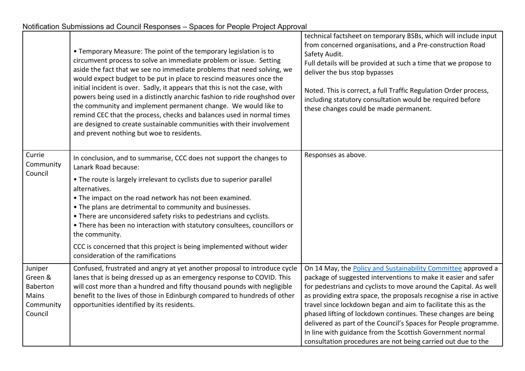|                                                                        | • Temporary Measure: The point of the temporary legislation is to<br>circumvent process to solve an immediate problem or issue. Setting<br>aside the fact that we see no immediate problems that need solving, we<br>would expect budget to be put in place to rescind measures once the<br>initial incident is over. Sadly, it appears that this is not the case, with<br>powers being used in a distinctly anarchic fashion to ride roughshod over<br>the community and implement permanent change. We would like to<br>remind CEC that the process, checks and balances used in normal times<br>are designed to create sustainable communities with their involvement<br>and prevent nothing but woe to residents. | technical factsheet on temporary BSBs, which will include input<br>from concerned organisations, and a Pre-construction Road<br>Safety Audit.<br>Full details will be provided at such a time that we propose to<br>deliver the bus stop bypasses<br>Noted. This is correct, a full Traffic Regulation Order process,<br>including statutory consultation would be required before<br>these changes could be made permanent.                                                                                                                                                                                |
|------------------------------------------------------------------------|-----------------------------------------------------------------------------------------------------------------------------------------------------------------------------------------------------------------------------------------------------------------------------------------------------------------------------------------------------------------------------------------------------------------------------------------------------------------------------------------------------------------------------------------------------------------------------------------------------------------------------------------------------------------------------------------------------------------------|-------------------------------------------------------------------------------------------------------------------------------------------------------------------------------------------------------------------------------------------------------------------------------------------------------------------------------------------------------------------------------------------------------------------------------------------------------------------------------------------------------------------------------------------------------------------------------------------------------------|
| Currie<br>Community<br>Council                                         | In conclusion, and to summarise, CCC does not support the changes to<br>Lanark Road because:<br>• The route is largely irrelevant to cyclists due to superior parallel<br>alternatives.<br>. The impact on the road network has not been examined.<br>. The plans are detrimental to community and businesses.<br>• There are unconsidered safety risks to pedestrians and cyclists.<br>• There has been no interaction with statutory consultees, councillors or<br>the community.<br>CCC is concerned that this project is being implemented without wider<br>consideration of the ramifications                                                                                                                    | Responses as above.                                                                                                                                                                                                                                                                                                                                                                                                                                                                                                                                                                                         |
| Juniper<br>Green &<br><b>Baberton</b><br>Mains<br>Community<br>Council | Confused, frustrated and angry at yet another proposal to introduce cycle<br>lanes that is being dressed up as an emergency response to COVID. This<br>will cost more than a hundred and fifty thousand pounds with negligible<br>benefit to the lives of those in Edinburgh compared to hundreds of other<br>opportunities identified by its residents.                                                                                                                                                                                                                                                                                                                                                              | On 14 May, the Policy and Sustainability Committee approved a<br>package of suggested interventions to make it easier and safer<br>for pedestrians and cyclists to move around the Capital. As well<br>as providing extra space, the proposals recognise a rise in active<br>travel since lockdown began and aim to facilitate this as the<br>phased lifting of lockdown continues. These changes are being<br>delivered as part of the Council's Spaces for People programme.<br>In line with guidance from the Scottish Government normal<br>consultation procedures are not being carried out due to the |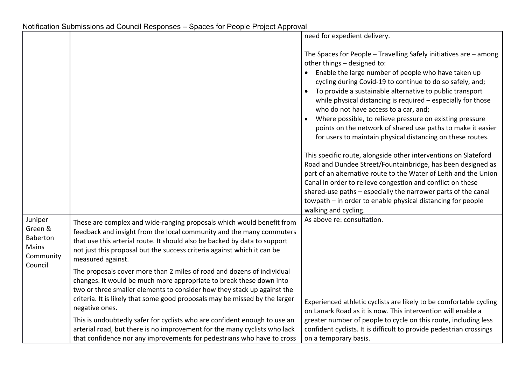|                                                                 |                                                                                                                                                                                                                                                                                                                                                                                                                                                                                                                                                                                                                                                                                                                                                                                                                                                                                             | need for expedient delivery.                                                                                                                                                                                                                                                                                                                                                                                                                                                                                                                                                                                                                                                                                                                                                                                                                                                                                                                                                                                                      |
|-----------------------------------------------------------------|---------------------------------------------------------------------------------------------------------------------------------------------------------------------------------------------------------------------------------------------------------------------------------------------------------------------------------------------------------------------------------------------------------------------------------------------------------------------------------------------------------------------------------------------------------------------------------------------------------------------------------------------------------------------------------------------------------------------------------------------------------------------------------------------------------------------------------------------------------------------------------------------|-----------------------------------------------------------------------------------------------------------------------------------------------------------------------------------------------------------------------------------------------------------------------------------------------------------------------------------------------------------------------------------------------------------------------------------------------------------------------------------------------------------------------------------------------------------------------------------------------------------------------------------------------------------------------------------------------------------------------------------------------------------------------------------------------------------------------------------------------------------------------------------------------------------------------------------------------------------------------------------------------------------------------------------|
|                                                                 |                                                                                                                                                                                                                                                                                                                                                                                                                                                                                                                                                                                                                                                                                                                                                                                                                                                                                             | The Spaces for People $-$ Travelling Safely initiatives are $-$ among<br>other things - designed to:<br>• Enable the large number of people who have taken up<br>cycling during Covid-19 to continue to do so safely, and;<br>To provide a sustainable alternative to public transport<br>while physical distancing is required - especially for those<br>who do not have access to a car, and;<br>Where possible, to relieve pressure on existing pressure<br>$\bullet$<br>points on the network of shared use paths to make it easier<br>for users to maintain physical distancing on these routes.<br>This specific route, alongside other interventions on Slateford<br>Road and Dundee Street/Fountainbridge, has been designed as<br>part of an alternative route to the Water of Leith and the Union<br>Canal in order to relieve congestion and conflict on these<br>shared-use paths - especially the narrower parts of the canal<br>towpath - in order to enable physical distancing for people<br>walking and cycling. |
| Juniper<br>Green &<br>Baberton<br>Mains<br>Community<br>Council | These are complex and wide-ranging proposals which would benefit from<br>feedback and insight from the local community and the many commuters<br>that use this arterial route. It should also be backed by data to support<br>not just this proposal but the success criteria against which it can be<br>measured against.<br>The proposals cover more than 2 miles of road and dozens of individual<br>changes. It would be much more appropriate to break these down into<br>two or three smaller elements to consider how they stack up against the<br>criteria. It is likely that some good proposals may be missed by the larger<br>negative ones.<br>This is undoubtedly safer for cyclists who are confident enough to use an<br>arterial road, but there is no improvement for the many cyclists who lack<br>that confidence nor any improvements for pedestrians who have to cross | As above re: consultation.<br>Experienced athletic cyclists are likely to be comfortable cycling<br>on Lanark Road as it is now. This intervention will enable a<br>greater number of people to cycle on this route, including less<br>confident cyclists. It is difficult to provide pedestrian crossings<br>on a temporary basis.                                                                                                                                                                                                                                                                                                                                                                                                                                                                                                                                                                                                                                                                                               |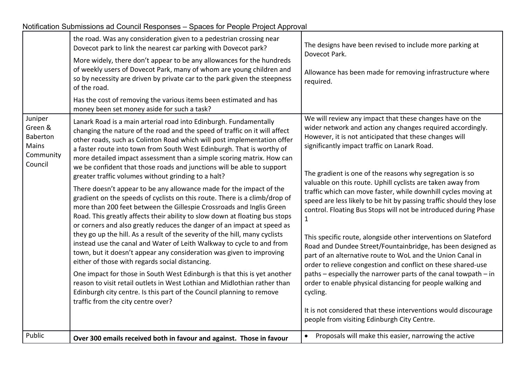| Notification Submissions ad Council Responses – Spaces for People Project Approval |  |
|------------------------------------------------------------------------------------|--|
|                                                                                    |  |

|                                                                 | the road. Was any consideration given to a pedestrian crossing near<br>Dovecot park to link the nearest car parking with Dovecot park?<br>More widely, there don't appear to be any allowances for the hundreds<br>of weekly users of Dovecot Park, many of whom are young children and<br>so by necessity are driven by private car to the park given the steepness<br>of the road.<br>Has the cost of removing the various items been estimated and has<br>money been set money aside for such a task?                                                                                                                                                                                                                                                                                                                                                                                                                                                                                                                                                                                                                                                                                                                                                                                                                                                                                                                                                        | The designs have been revised to include more parking at<br>Dovecot Park.<br>Allowance has been made for removing infrastructure where<br>required.                                                                                                                                                                                                                                                                                                                                                                                                                                                                                                                                                                                                                                                                                                                                                                                                                                                                                                                                                                   |
|-----------------------------------------------------------------|-----------------------------------------------------------------------------------------------------------------------------------------------------------------------------------------------------------------------------------------------------------------------------------------------------------------------------------------------------------------------------------------------------------------------------------------------------------------------------------------------------------------------------------------------------------------------------------------------------------------------------------------------------------------------------------------------------------------------------------------------------------------------------------------------------------------------------------------------------------------------------------------------------------------------------------------------------------------------------------------------------------------------------------------------------------------------------------------------------------------------------------------------------------------------------------------------------------------------------------------------------------------------------------------------------------------------------------------------------------------------------------------------------------------------------------------------------------------|-----------------------------------------------------------------------------------------------------------------------------------------------------------------------------------------------------------------------------------------------------------------------------------------------------------------------------------------------------------------------------------------------------------------------------------------------------------------------------------------------------------------------------------------------------------------------------------------------------------------------------------------------------------------------------------------------------------------------------------------------------------------------------------------------------------------------------------------------------------------------------------------------------------------------------------------------------------------------------------------------------------------------------------------------------------------------------------------------------------------------|
| Juniper<br>Green &<br>Baberton<br>Mains<br>Community<br>Council | Lanark Road is a main arterial road into Edinburgh. Fundamentally<br>changing the nature of the road and the speed of traffic on it will affect<br>other roads, such as Colinton Road which will post implementation offer<br>a faster route into town from South West Edinburgh. That is worthy of<br>more detailed impact assessment than a simple scoring matrix. How can<br>we be confident that those roads and junctions will be able to support<br>greater traffic volumes without grinding to a halt?<br>There doesn't appear to be any allowance made for the impact of the<br>gradient on the speeds of cyclists on this route. There is a climb/drop of<br>more than 200 feet between the Gillespie Crossroads and Inglis Green<br>Road. This greatly affects their ability to slow down at floating bus stops<br>or corners and also greatly reduces the danger of an impact at speed as<br>they go up the hill. As a result of the severity of the hill, many cyclists<br>instead use the canal and Water of Leith Walkway to cycle to and from<br>town, but it doesn't appear any consideration was given to improving<br>either of those with regards social distancing.<br>One impact for those in South West Edinburgh is that this is yet another<br>reason to visit retail outlets in West Lothian and Midlothian rather than<br>Edinburgh city centre. Is this part of the Council planning to remove<br>traffic from the city centre over? | We will review any impact that these changes have on the<br>wider network and action any changes required accordingly.<br>However, it is not anticipated that these changes will<br>significantly impact traffic on Lanark Road.<br>The gradient is one of the reasons why segregation is so<br>valuable on this route. Uphill cyclists are taken away from<br>traffic which can move faster, while downhill cycles moving at<br>speed are less likely to be hit by passing traffic should they lose<br>control. Floating Bus Stops will not be introduced during Phase<br>$\mathbf{1}$<br>This specific route, alongside other interventions on Slateford<br>Road and Dundee Street/Fountainbridge, has been designed as<br>part of an alternative route to WoL and the Union Canal in<br>order to relieve congestion and conflict on these shared-use<br>paths - especially the narrower parts of the canal towpath - in<br>order to enable physical distancing for people walking and<br>cycling.<br>It is not considered that these interventions would discourage<br>people from visiting Edinburgh City Centre. |
| Public                                                          | Over 300 emails received both in favour and against. Those in favour                                                                                                                                                                                                                                                                                                                                                                                                                                                                                                                                                                                                                                                                                                                                                                                                                                                                                                                                                                                                                                                                                                                                                                                                                                                                                                                                                                                            | Proposals will make this easier, narrowing the active<br>$\bullet$                                                                                                                                                                                                                                                                                                                                                                                                                                                                                                                                                                                                                                                                                                                                                                                                                                                                                                                                                                                                                                                    |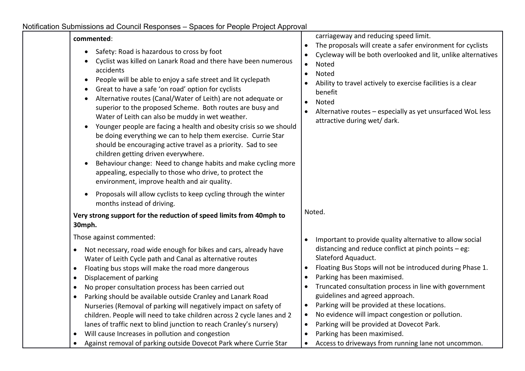| commented:<br>Safety: Road is hazardous to cross by foot<br>$\bullet$<br>Cyclist was killed on Lanark Road and there have been numerous<br>accidents<br>People will be able to enjoy a safe street and lit cyclepath<br>$\bullet$<br>Great to have a safe 'on road' option for cyclists<br>$\bullet$<br>Alternative routes (Canal/Water of Leith) are not adequate or<br>$\bullet$<br>superior to the proposed Scheme. Both routes are busy and<br>Water of Leith can also be muddy in wet weather.<br>Younger people are facing a health and obesity crisis so we should<br>$\bullet$<br>be doing everything we can to help them exercise. Currie Star<br>should be encouraging active travel as a priority. Sad to see<br>children getting driven everywhere.<br>Behaviour change: Need to change habits and make cycling more<br>$\bullet$<br>appealing, especially to those who drive, to protect the<br>environment, improve health and air quality. | carriageway and reducing speed limit.<br>The proposals will create a safer environment for cyclists<br>$\bullet$<br>Cycleway will be both overlooked and lit, unlike alternatives<br>Noted<br>$\bullet$<br>Noted<br>$\bullet$<br>Ability to travel actively to exercise facilities is a clear<br>benefit<br>Noted<br>$\bullet$<br>Alternative routes - especially as yet unsurfaced WoL less<br>attractive during wet/ dark.                                                                                                                                                                                |
|-----------------------------------------------------------------------------------------------------------------------------------------------------------------------------------------------------------------------------------------------------------------------------------------------------------------------------------------------------------------------------------------------------------------------------------------------------------------------------------------------------------------------------------------------------------------------------------------------------------------------------------------------------------------------------------------------------------------------------------------------------------------------------------------------------------------------------------------------------------------------------------------------------------------------------------------------------------|-------------------------------------------------------------------------------------------------------------------------------------------------------------------------------------------------------------------------------------------------------------------------------------------------------------------------------------------------------------------------------------------------------------------------------------------------------------------------------------------------------------------------------------------------------------------------------------------------------------|
| Proposals will allow cyclists to keep cycling through the winter<br>$\bullet$<br>months instead of driving.<br>Very strong support for the reduction of speed limits from 40mph to<br>30mph.                                                                                                                                                                                                                                                                                                                                                                                                                                                                                                                                                                                                                                                                                                                                                              | Noted.                                                                                                                                                                                                                                                                                                                                                                                                                                                                                                                                                                                                      |
| Those against commented:<br>Not necessary, road wide enough for bikes and cars, already have<br>$\bullet$<br>Water of Leith Cycle path and Canal as alternative routes<br>Floating bus stops will make the road more dangerous<br>$\bullet$<br>Displacement of parking<br>$\bullet$<br>No proper consultation process has been carried out<br>$\bullet$<br>Parking should be available outside Cranley and Lanark Road<br>$\bullet$<br>Nurseries (Removal of parking will negatively impact on safety of<br>children. People will need to take children across 2 cycle lanes and 2<br>lanes of traffic next to blind junction to reach Cranley's nursery)<br>Will cause Increases in pollution and congestion<br>$\bullet$                                                                                                                                                                                                                                | Important to provide quality alternative to allow social<br>$\bullet$<br>distancing and reduce conflict at pinch points - eg:<br>Slateford Aquaduct.<br>Floating Bus Stops will not be introduced during Phase 1.<br>$\bullet$<br>Parking has been maximised.<br>$\bullet$<br>Truncated consultation process in line with government<br>$\bullet$<br>guidelines and agreed approach.<br>Parking will be provided at these locations.<br>$\bullet$<br>No evidence will impact congestion or pollution.<br>$\bullet$<br>Parking will be provided at Dovecot Park.<br>$\bullet$<br>Parking has been maximised. |
| Against removal of parking outside Dovecot Park where Currie Star                                                                                                                                                                                                                                                                                                                                                                                                                                                                                                                                                                                                                                                                                                                                                                                                                                                                                         | Access to driveways from running lane not uncommon.<br>$\bullet$                                                                                                                                                                                                                                                                                                                                                                                                                                                                                                                                            |